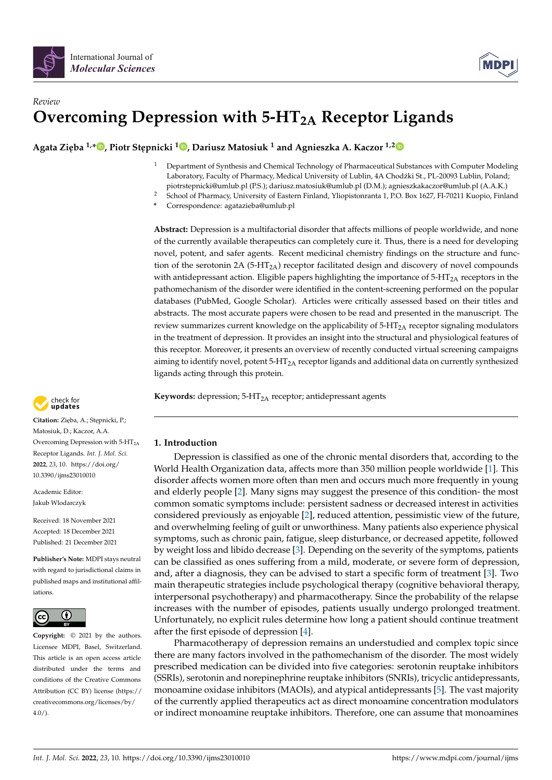

# *Review* **Overcoming Depression with 5-HT2A Receptor Ligands**

 $\bf{A}$ gata Zięba  $^{1,*}$  $^{1,*}$  $^{1,*}$   $\bf{D}$ [,](https://orcid.org/0000-0002-3470-8248) Piotr Stępnicki  $^{1}\bf{D}$ , Dariusz Matosiuk  $^{1}$  and Agnieszka A. Kaczor  $^{1,2}$  $^{1,2}$  $^{1,2}$ 

- <sup>1</sup> Department of Synthesis and Chemical Technology of Pharmaceutical Substances with Computer Modeling Laboratory, Faculty of Pharmacy, Medical University of Lublin, 4A Chodźki St., PL-20093 Lublin, Poland; piotrstepnicki@umlub.pl (P.S.); dariusz.matosiuk@umlub.pl (D.M.); agnieszkakaczor@umlub.pl (A.A.K.)
- <sup>2</sup> School of Pharmacy, University of Eastern Finland, Yliopistonranta 1, P.O. Box 1627, FI-70211 Kuopio, Finland

**\*** Correspondence: agatazieba@umlub.pl

**Abstract:** Depression is a multifactorial disorder that affects millions of people worldwide, and none of the currently available therapeutics can completely cure it. Thus, there is a need for developing novel, potent, and safer agents. Recent medicinal chemistry findings on the structure and function of the serotonin 2A (5-HT<sub>2A</sub>) receptor facilitated design and discovery of novel compounds with antidepressant action. Eligible papers highlighting the importance of  $5-HT_{2A}$  receptors in the pathomechanism of the disorder were identified in the content-screening performed on the popular databases (PubMed, Google Scholar). Articles were critically assessed based on their titles and abstracts. The most accurate papers were chosen to be read and presented in the manuscript. The review summarizes current knowledge on the applicability of  $5-HT<sub>2A</sub>$  receptor signaling modulators in the treatment of depression. It provides an insight into the structural and physiological features of this receptor. Moreover, it presents an overview of recently conducted virtual screening campaigns aiming to identify novel, potent  $5-HT<sub>2A</sub>$  receptor ligands and additional data on currently synthesized ligands acting through this protein.

**Keywords:** depression; 5-HT<sub>2A</sub> receptor; antidepressant agents



Citation: Zięba, A.; Stępnicki, P.; Matosiuk, D.; Kaczor, A.A. Overcoming Depression with  $5-HT<sub>2A</sub>$ Receptor Ligands. *Int. J. Mol. Sci.* **2022**, *23*, 10. [https://doi.org/](https://doi.org/10.3390/ijms23010010) [10.3390/ijms23010010](https://doi.org/10.3390/ijms23010010)

Academic Editor: Jakub Wlodarczyk

Received: 18 November 2021 Accepted: 18 December 2021 Published: 21 December 2021

**Publisher's Note:** MDPI stays neutral with regard to jurisdictional claims in published maps and institutional affiliations.



**Copyright:** © 2021 by the authors. Licensee MDPI, Basel, Switzerland. This article is an open access article distributed under the terms and conditions of the Creative Commons Attribution (CC BY) license [\(https://](https://creativecommons.org/licenses/by/4.0/) [creativecommons.org/licenses/by/](https://creativecommons.org/licenses/by/4.0/)  $4.0/$ ).

## **1. Introduction**

Depression is classified as one of the chronic mental disorders that, according to the World Health Organization data, affects more than 350 million people worldwide [\[1\]](#page-12-0). This disorder affects women more often than men and occurs much more frequently in young and elderly people [\[2\]](#page-12-1). Many signs may suggest the presence of this condition- the most common somatic symptoms include: persistent sadness or decreased interest in activities considered previously as enjoyable [\[2\]](#page-12-1), reduced attention, pessimistic view of the future, and overwhelming feeling of guilt or unworthiness. Many patients also experience physical symptoms, such as chronic pain, fatigue, sleep disturbance, or decreased appetite, followed by weight loss and libido decrease [\[3\]](#page-12-2). Depending on the severity of the symptoms, patients can be classified as ones suffering from a mild, moderate, or severe form of depression, and, after a diagnosis, they can be advised to start a specific form of treatment [\[3\]](#page-12-2). Two main therapeutic strategies include psychological therapy (cognitive behavioral therapy, interpersonal psychotherapy) and pharmacotherapy. Since the probability of the relapse increases with the number of episodes, patients usually undergo prolonged treatment. Unfortunately, no explicit rules determine how long a patient should continue treatment after the first episode of depression [\[4\]](#page-12-3).

Pharmacotherapy of depression remains an understudied and complex topic since there are many factors involved in the pathomechanism of the disorder. The most widely prescribed medication can be divided into five categories: serotonin reuptake inhibitors (SSRIs), serotonin and norepinephrine reuptake inhibitors (SNRIs), tricyclic antidepressants, monoamine oxidase inhibitors (MAOIs), and atypical antidepressants [\[5\]](#page-12-4). The vast majority of the currently applied therapeutics act as direct monoamine concentration modulators or indirect monoamine reuptake inhibitors. Therefore, one can assume that monoamines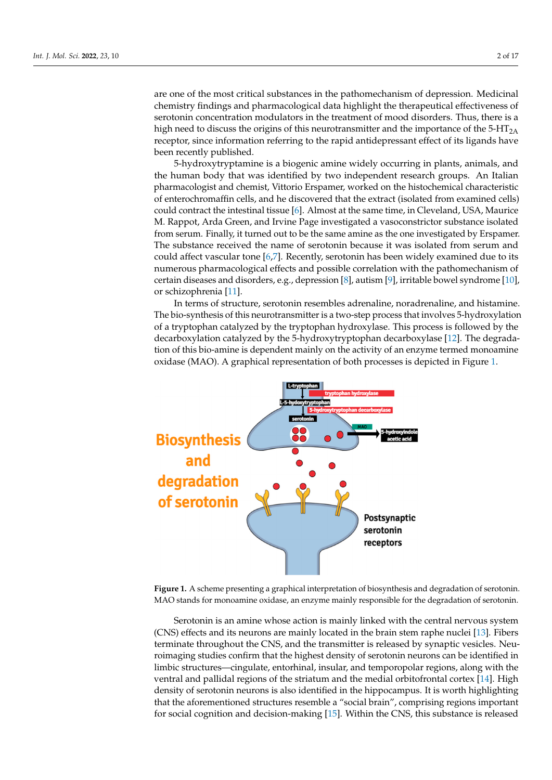are one of the most critical substances in the pathomechanism of depression. Medicinal chemistry findings and pharmacological data highlight the therapeutical effectiveness of serotonin concentration modulators in the treatment of mood disorders. Thus, there is a high need to discuss the origins of this neurotransmitter and the importance of the 5-HT<sub>2A</sub> receptor, since information referring to the rapid antidepressant effect of its ligands have been recently published. The state of a biogenic amine widely occurring in plants, and the state of animals, and

concentration modulators or indirect monoamine reuptake inhibitors. Therefore, one can

5-hydroxytryptamine is a biogenic amine widely occurring in plants, animals, and the human body that was identified by two independent research groups. An Italian pharmacologist and chemist, Vittorio Erspamer, worked on the histochemical characteristic of enterochromaffin cells, and he discovered that the extract (isolated from examined cells) of enterochromaffin cells, and he discovered that the extract (isolated from examined cells)<br>could contract the intestinal tissue [6]. Almost at the same time, in Cleveland, USA, Maurice M. Rappot, Arda Green, and Irvine Page investigated a vasoconstrictor substance isolated from serum. Finally, it turned out to be the same amine as the one investigated by Erspamer. The substance received the name of serotonin because it was isolated from serum and could affect vascular tone  $[6,7]$  $[6,7]$ . Recently, serotonin has been widely examined due to its numerous pharmacological effects and possible correlation with the pathomechanism of certain diseases and disorders, e.g., depression [\[8\]](#page-12-7), autism [\[9\]](#page-13-0), irritable bowel syndrome [\[10\]](#page-13-1), or schizophrenia [\[11\]](#page-13-2).

In terms of structure, serotonin resembles adrenaline, noradrenaline, and histamine. The bio-synthesis of this neurotransmitter is a two-step process that involves 5-hydroxylation  $\;$ of a tryptophan catalyzed by the tryptophan hydroxylase. This process is followed by the decarboxylation catalyzed by the 5-hydroxytryptophan decarboxylase [\[12\]](#page-13-3). The degradation of this bio-amine is dependent mainly on the activity of an enzyme termed monoamine oxidase (MAO). A graphical representation of both processes is depicted in Figure [1.](#page-1-0) depicted in Figure 1.

<span id="page-1-0"></span>

**Figure 1.** A scheme presenting a graphical interpretation of biosynthesis and degradation of **Figure 1.** A scheme presenting a graphical interpretation of biosynthesis and degradation of serotonin. MAO stands for monoamine oxidase, an enzyme mainly responsible for the degradation of serotonin.

(CNS) effects and its neurons are mainly located in the brain stem raphe nuclei [\[13\]](#page-13-4). Fibers terminate throughout the CNS, and the transmitter is released by synaptic vesicles. Neuroimaging studies confirm that the highest density of serotonin neurons can be identified in limbic structures—cingulate, entorhinal, insular, and temporopolar regions, along with the ventral and pallidal regions of the striatum and the medial orbitofrontal cortex [14]. High Serotonin is an amine whose action is mainly linked with the central nervous system density of serotonin neurons is also identified in the hippocampus. It is worth highlighting that the aforementioned structures resemble a "social brain", comprising regions important for social cognition and decision-making [\[15\]](#page-13-6). Within the CNS, this substance is released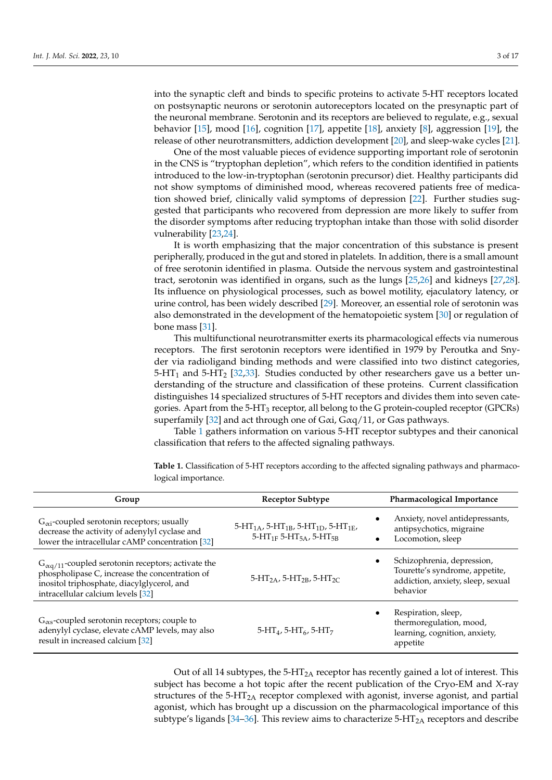into the synaptic cleft and binds to specific proteins to activate 5-HT receptors located on postsynaptic neurons or serotonin autoreceptors located on the presynaptic part of the neuronal membrane. Serotonin and its receptors are believed to regulate, e.g., sexual behavior [\[15\]](#page-13-6), mood [\[16\]](#page-13-7), cognition [\[17\]](#page-13-8), appetite [\[18\]](#page-13-9), anxiety [\[8\]](#page-12-7), aggression [\[19\]](#page-13-10), the release of other neurotransmitters, addiction development [\[20\]](#page-13-11), and sleep-wake cycles [\[21\]](#page-13-12).

One of the most valuable pieces of evidence supporting important role of serotonin in the CNS is "tryptophan depletion", which refers to the condition identified in patients introduced to the low-in-tryptophan (serotonin precursor) diet. Healthy participants did not show symptoms of diminished mood, whereas recovered patients free of medication showed brief, clinically valid symptoms of depression [\[22\]](#page-13-13). Further studies suggested that participants who recovered from depression are more likely to suffer from the disorder symptoms after reducing tryptophan intake than those with solid disorder vulnerability [\[23](#page-13-14)[,24\]](#page-13-15).

It is worth emphasizing that the major concentration of this substance is present peripherally, produced in the gut and stored in platelets. In addition, there is a small amount of free serotonin identified in plasma. Outside the nervous system and gastrointestinal tract, serotonin was identified in organs, such as the lungs [\[25,](#page-13-16)[26\]](#page-13-17) and kidneys [\[27,](#page-13-18)[28\]](#page-13-19). Its influence on physiological processes, such as bowel motility, ejaculatory latency, or urine control, has been widely described [\[29\]](#page-13-20). Moreover, an essential role of serotonin was also demonstrated in the development of the hematopoietic system [\[30\]](#page-13-21) or regulation of bone mass [\[31\]](#page-13-22).

This multifunctional neurotransmitter exerts its pharmacological effects via numerous receptors. The first serotonin receptors were identified in 1979 by Peroutka and Snyder via radioligand binding methods and were classified into two distinct categories,  $5-HT_1$  and  $5-HT_2$  [\[32,](#page-13-23)[33\]](#page-13-24). Studies conducted by other researchers gave us a better understanding of the structure and classification of these proteins. Current classification distinguishes 14 specialized structures of 5-HT receptors and divides them into seven categories. Apart from the 5-HT<sup>3</sup> receptor, all belong to the G protein-coupled receptor (GPCRs) superfamily [\[32\]](#page-13-23) and act through one of Gαi, Gαq/11, or Gαs pathways.

Table [1](#page-2-0) gathers information on various 5-HT receptor subtypes and their canonical classification that refers to the affected signaling pathways.

| Group                                                                                                                                                                                             | <b>Receptor Subtype</b>                                                                                                                           | Pharmacological Importance                                                                                    |
|---------------------------------------------------------------------------------------------------------------------------------------------------------------------------------------------------|---------------------------------------------------------------------------------------------------------------------------------------------------|---------------------------------------------------------------------------------------------------------------|
| $G_{\alpha i}$ -coupled serotonin receptors; usually<br>decrease the activity of adenylyl cyclase and<br>lower the intracellular cAMP concentration [32]                                          | 5-HT <sub>1A</sub> , 5-HT <sub>1B</sub> , 5-HT <sub>1D</sub> , 5-HT <sub>1E</sub> ,<br>5-HT <sub>1F</sub> 5-HT <sub>5A</sub> , 5-HT <sub>5B</sub> | Anxiety, novel antidepressants,<br>antipsychotics, migraine<br>Locomotion, sleep<br>$\bullet$                 |
| $G_{\alpha q/11}$ -coupled serotonin receptors; activate the<br>phospholipase C, increase the concentration of<br>inositol triphosphate, diacylglycerol, and<br>intracellular calcium levels [32] | $5-HT_{2A}$ , $5-HT_{2B}$ , $5-HT_{2C}$                                                                                                           | Schizophrenia, depression,<br>Tourette's syndrome, appetite,<br>addiction, anxiety, sleep, sexual<br>behavior |
| $G_{\alpha s}$ -coupled serotonin receptors; couple to<br>adenylyl cyclase, elevate cAMP levels, may also<br>result in increased calcium [32]                                                     | $5-HT4$ , $5-HT6$ , $5-HT7$                                                                                                                       | Respiration, sleep,<br>thermoregulation, mood,<br>learning, cognition, anxiety,<br>appetite                   |

<span id="page-2-0"></span>**Table 1.** Classification of 5-HT receptors according to the affected signaling pathways and pharmacological importance.

Out of all 14 subtypes, the  $5-HT<sub>2A</sub>$  receptor has recently gained a lot of interest. This subject has become a hot topic after the recent publication of the Cryo-EM and X-ray structures of the 5-HT<sub>2A</sub> receptor complexed with agonist, inverse agonist, and partial agonist, which has brought up a discussion on the pharmacological importance of this subtype's ligands [\[34–](#page-13-25)[36\]](#page-13-26). This review aims to characterize  $5-HT_{2A}$  receptors and describe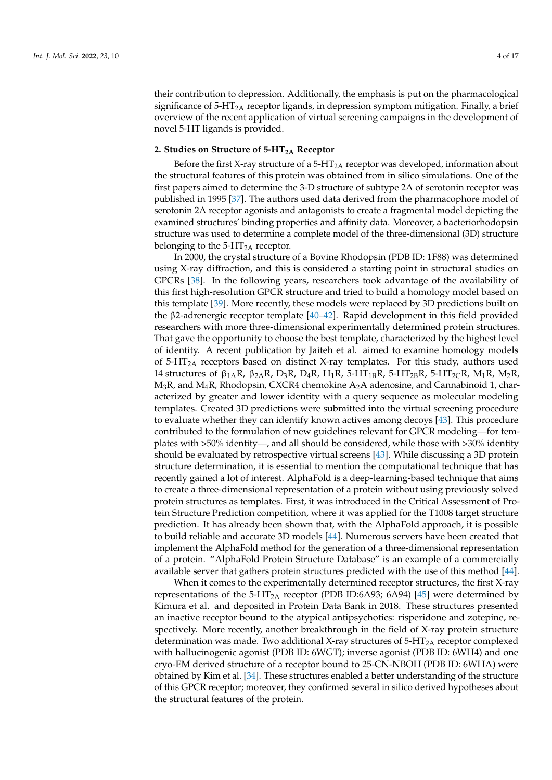their contribution to depression. Additionally, the emphasis is put on the pharmacological significance of  $5-HT<sub>2A</sub>$  receptor ligands, in depression symptom mitigation. Finally, a brief overview of the recent application of virtual screening campaigns in the development of novel 5-HT ligands is provided.

## **2. Studies on Structure of 5-HT2A Receptor**

Before the first X-ray structure of a 5-HT<sub>2A</sub> receptor was developed, information about the structural features of this protein was obtained from in silico simulations. One of the first papers aimed to determine the 3-D structure of subtype 2A of serotonin receptor was published in 1995 [\[37\]](#page-13-27). The authors used data derived from the pharmacophore model of serotonin 2A receptor agonists and antagonists to create a fragmental model depicting the examined structures' binding properties and affinity data. Moreover, a bacteriorhodopsin structure was used to determine a complete model of the three-dimensional (3D) structure belonging to the  $5$ -HT<sub>2A</sub> receptor.

In 2000, the crystal structure of a Bovine Rhodopsin (PDB ID: 1F88) was determined using X-ray diffraction, and this is considered a starting point in structural studies on GPCRs [\[38\]](#page-13-28). In the following years, researchers took advantage of the availability of this first high-resolution GPCR structure and tried to build a homology model based on this template [\[39\]](#page-14-0). More recently, these models were replaced by 3D predictions built on the β2-adrenergic receptor template [\[40](#page-14-1)[–42\]](#page-14-2). Rapid development in this field provided researchers with more three-dimensional experimentally determined protein structures. That gave the opportunity to choose the best template, characterized by the highest level of identity. A recent publication by Jaiteh et al. aimed to examine homology models of  $5-HT<sub>2A</sub>$  receptors based on distinct X-ray templates. For this study, authors used 14 structures of  $\beta_{1A}R$ ,  $\beta_{2A}R$ ,  $D_3R$ ,  $D_4R$ ,  $H_1R$ ,  $5-HT_{1B}R$ ,  $5-HT_{2B}R$ ,  $5-HT_{2C}R$ ,  $M_1R$ ,  $M_2R$ ,  $M_3R$ , and  $M_4R$ , Rhodopsin, CXCR4 chemokine  $A_2A$  adenosine, and Cannabinoid 1, characterized by greater and lower identity with a query sequence as molecular modeling templates. Created 3D predictions were submitted into the virtual screening procedure to evaluate whether they can identify known actives among decoys [\[43\]](#page-14-3). This procedure contributed to the formulation of new guidelines relevant for GPCR modeling—for templates with >50% identity—, and all should be considered, while those with >30% identity should be evaluated by retrospective virtual screens [\[43\]](#page-14-3). While discussing a 3D protein structure determination, it is essential to mention the computational technique that has recently gained a lot of interest. AlphaFold is a deep-learning-based technique that aims to create a three-dimensional representation of a protein without using previously solved protein structures as templates. First, it was introduced in the Critical Assessment of Protein Structure Prediction competition, where it was applied for the T1008 target structure prediction. It has already been shown that, with the AlphaFold approach, it is possible to build reliable and accurate 3D models [\[44\]](#page-14-4). Numerous servers have been created that implement the AlphaFold method for the generation of a three-dimensional representation of a protein. "AlphaFold Protein Structure Database" is an example of a commercially available server that gathers protein structures predicted with the use of this method [\[44\]](#page-14-4).

When it comes to the experimentally determined receptor structures, the first X-ray representations of the 5-HT<sub>2A</sub> receptor (PDB ID:6A93; 6A94) [\[45\]](#page-14-5) were determined by Kimura et al. and deposited in Protein Data Bank in 2018. These structures presented an inactive receptor bound to the atypical antipsychotics: risperidone and zotepine, respectively. More recently, another breakthrough in the field of X-ray protein structure determination was made. Two additional X-ray structures of  $5-HT<sub>2A</sub>$  receptor complexed with hallucinogenic agonist (PDB ID: 6WGT); inverse agonist (PDB ID: 6WH4) and one cryo-EM derived structure of a receptor bound to 25-CN-NBOH (PDB ID: 6WHA) were obtained by Kim et al. [\[34\]](#page-13-25). These structures enabled a better understanding of the structure of this GPCR receptor; moreover, they confirmed several in silico derived hypotheses about the structural features of the protein.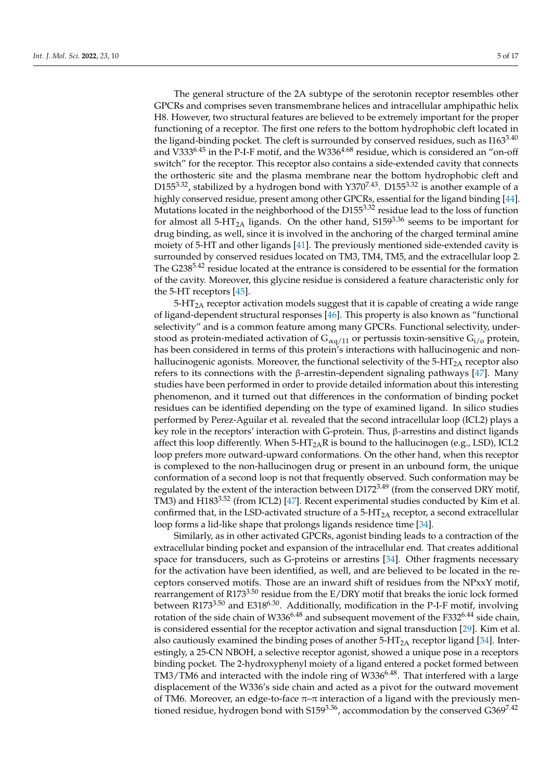The general structure of the 2A subtype of the serotonin receptor resembles other GPCRs and comprises seven transmembrane helices and intracellular amphipathic helix H8. However, two structural features are believed to be extremely important for the proper functioning of a receptor. The first one refers to the bottom hydrophobic cleft located in the ligand-binding pocket. The cleft is surrounded by conserved residues, such as  $1163^{3.40}$ and V333 $6.45$  in the P-I-F motif, and the W336 $4.68$  residue, which is considered an "on-off switch" for the receptor. This receptor also contains a side-extended cavity that connects the orthosteric site and the plasma membrane near the bottom hydrophobic cleft and D155<sup>3.32</sup>, stabilized by a hydrogen bond with  $Y370^{7.43}$ . D155<sup>3.32</sup> is another example of a highly conserved residue, present among other GPCRs, essential for the ligand binding [\[44\]](#page-14-4). Mutations located in the neighborhood of the D155<sup>3.32</sup> residue lead to the loss of function for almost all 5-HT<sub>2A</sub> ligands. On the other hand,  $5159^{3.36}$  seems to be important for drug binding, as well, since it is involved in the anchoring of the charged terminal amine moiety of 5-HT and other ligands [\[41\]](#page-14-6). The previously mentioned side-extended cavity is surrounded by conserved residues located on TM3, TM4, TM5, and the extracellular loop 2. The G238<sup>5.42</sup> residue located at the entrance is considered to be essential for the formation of the cavity. Moreover, this glycine residue is considered a feature characteristic only for the 5-HT receptors [\[45\]](#page-14-5).

 $5-\text{HT}_{2A}$  receptor activation models suggest that it is capable of creating a wide range of ligand-dependent structural responses [\[46\]](#page-14-7). This property is also known as "functional selectivity" and is a common feature among many GPCRs. Functional selectivity, understood as protein-mediated activation of  $G_{\alpha q/11}$  or pertussis toxin-sensitive  $G_{i/o}$  protein, has been considered in terms of this protein's interactions with hallucinogenic and nonhallucinogenic agonists. Moreover, the functional selectivity of the  $5-HT<sub>2A</sub>$  receptor also refers to its connections with the β-arrestin-dependent signaling pathways [\[47\]](#page-14-8). Many studies have been performed in order to provide detailed information about this interesting phenomenon, and it turned out that differences in the conformation of binding pocket residues can be identified depending on the type of examined ligand. In silico studies performed by Perez-Aguilar et al. revealed that the second intracellular loop (ICL2) plays a key role in the receptors' interaction with G-protein. Thus, β-arrestins and distinct ligands affect this loop differently. When  $5-HT_{2A}R$  is bound to the hallucinogen (e.g., LSD), ICL2 loop prefers more outward-upward conformations. On the other hand, when this receptor is complexed to the non-hallucinogen drug or present in an unbound form, the unique conformation of a second loop is not that frequently observed. Such conformation may be regulated by the extent of the interaction between  $D172^{3.49}$  (from the conserved DRY motif, TM3) and H183<sup>3.52</sup> (from ICL2) [\[47\]](#page-14-8). Recent experimental studies conducted by Kim et al. confirmed that, in the LSD-activated structure of a  $5-HT<sub>2A</sub>$  receptor, a second extracellular loop forms a lid-like shape that prolongs ligands residence time [\[34\]](#page-13-25).

Similarly, as in other activated GPCRs, agonist binding leads to a contraction of the extracellular binding pocket and expansion of the intracellular end. That creates additional space for transducers, such as G-proteins or arrestins [\[34\]](#page-13-25). Other fragments necessary for the activation have been identified, as well, and are believed to be located in the receptors conserved motifs. Those are an inward shift of residues from the NPxxY motif, rearrangement of R173<sup>3.50</sup> residue from the  $E/DRY$  motif that breaks the ionic lock formed between R173<sup>3.50</sup> and E318<sup>6.30</sup>. Additionally, modification in the P-I-F motif, involving rotation of the side chain of W336<sup>6.48</sup> and subsequent movement of the F332<sup>6.44</sup> side chain, is considered essential for the receptor activation and signal transduction [\[29\]](#page-13-20). Kim et al. also cautiously examined the binding poses of another  $5-\text{HT}_{2A}$  receptor ligand [\[34\]](#page-13-25). Interestingly, a 25-CN NBOH, a selective receptor agonist, showed a unique pose in a receptors binding pocket. The 2-hydroxyphenyl moiety of a ligand entered a pocket formed between  $TM3/TM6$  and interacted with the indole ring of  $W336^{6.48}$ . That interfered with a large displacement of the W336's side chain and acted as a pivot for the outward movement of TM6. Moreover, an edge-to-face  $\pi-\pi$  interaction of a ligand with the previously mentioned residue, hydrogen bond with  $S159^{3.36}$ , accommodation by the conserved  $G369^{7.42}$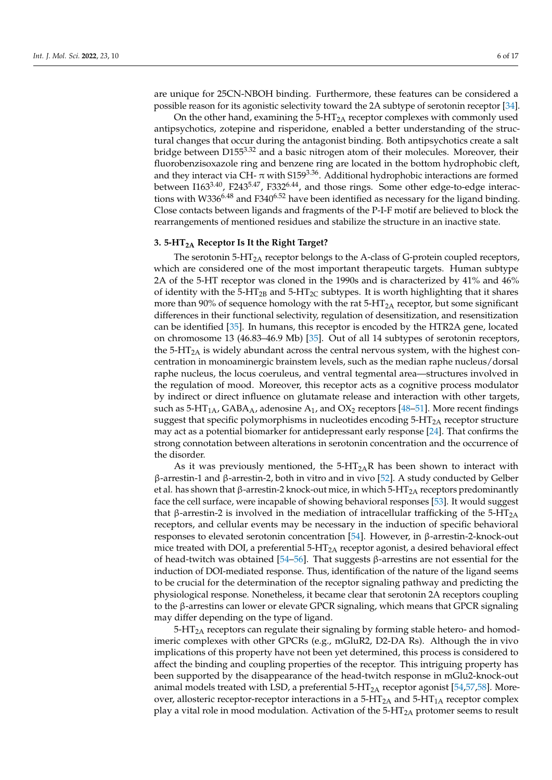are unique for 25CN-NBOH binding. Furthermore, these features can be considered a possible reason for its agonistic selectivity toward the 2A subtype of serotonin receptor [\[34\]](#page-13-25).

On the other hand, examining the  $5-HT<sub>2A</sub>$  receptor complexes with commonly used antipsychotics, zotepine and risperidone, enabled a better understanding of the structural changes that occur during the antagonist binding. Both antipsychotics create a salt bridge between D155<sup>3.32</sup> and a basic nitrogen atom of their molecules. Moreover, their fluorobenzisoxazole ring and benzene ring are located in the bottom hydrophobic cleft, and they interact via CH- $\pi$  with S159<sup>3.36</sup>. Additional hydrophobic interactions are formed between I163<sup>3.40</sup>, F243<sup>5.47</sup>, F332<sup>6.44</sup>, and those rings. Some other edge-to-edge interactions with W336<sup>6.48</sup> and F340<sup>6.52</sup> have been identified as necessary for the ligand binding. Close contacts between ligands and fragments of the P-I-F motif are believed to block the rearrangements of mentioned residues and stabilize the structure in an inactive state.

### **3. 5-HT2A Receptor Is It the Right Target?**

The serotonin  $5-HT<sub>2A</sub>$  receptor belongs to the A-class of G-protein coupled receptors, which are considered one of the most important therapeutic targets. Human subtype 2A of the 5-HT receptor was cloned in the 1990s and is characterized by 41% and 46% of identity with the 5-HT<sub>2B</sub> and 5-HT<sub>2C</sub> subtypes. It is worth highlighting that it shares more than 90% of sequence homology with the rat  $5-HT<sub>2A</sub>$  receptor, but some significant differences in their functional selectivity, regulation of desensitization, and resensitization can be identified [\[35\]](#page-13-29). In humans, this receptor is encoded by the HTR2A gene, located on chromosome 13 (46.83–46.9 Mb) [\[35\]](#page-13-29). Out of all 14 subtypes of serotonin receptors, the 5-HT<sub>2A</sub> is widely abundant across the central nervous system, with the highest concentration in monoaminergic brainstem levels, such as the median raphe nucleus/dorsal raphe nucleus, the locus coeruleus, and ventral tegmental area—structures involved in the regulation of mood. Moreover, this receptor acts as a cognitive process modulator by indirect or direct influence on glutamate release and interaction with other targets, such as  $5-HT_{1A}$ , GABA<sub>A</sub>, adenosine A<sub>1</sub>, and OX<sub>2</sub> receptors [\[48–](#page-14-9)[51\]](#page-14-10). More recent findings suggest that specific polymorphisms in nucleotides encoding  $5-HT_{2A}$  receptor structure may act as a potential biomarker for antidepressant early response [\[24\]](#page-13-15). That confirms the strong connotation between alterations in serotonin concentration and the occurrence of the disorder.

As it was previously mentioned, the  $5-HT<sub>2</sub>$ R has been shown to interact with β-arrestin-1 and β-arrestin-2, both in vitro and in vivo [\[52\]](#page-14-11). A study conducted by Gelber et al. has shown that β-arrestin-2 knock-out mice, in which  $5-HT<sub>2A</sub>$  receptors predominantly face the cell surface, were incapable of showing behavioral responses [\[53\]](#page-14-12). It would suggest that β-arrestin-2 is involved in the mediation of intracellular trafficking of the 5-HT<sub>2A</sub> receptors, and cellular events may be necessary in the induction of specific behavioral responses to elevated serotonin concentration [\[54\]](#page-14-13). However, in β-arrestin-2-knock-out mice treated with DOI, a preferential  $5-HT_{2A}$  receptor agonist, a desired behavioral effect of head-twitch was obtained [\[54](#page-14-13)[–56\]](#page-14-14). That suggests β-arrestins are not essential for the induction of DOI-mediated response. Thus, identification of the nature of the ligand seems to be crucial for the determination of the receptor signaling pathway and predicting the physiological response. Nonetheless, it became clear that serotonin 2A receptors coupling to the β-arrestins can lower or elevate GPCR signaling, which means that GPCR signaling may differ depending on the type of ligand.

5-HT<sub>2A</sub> receptors can regulate their signaling by forming stable hetero- and homodimeric complexes with other GPCRs (e.g., mGluR2, D2-DA Rs). Although the in vivo implications of this property have not been yet determined, this process is considered to affect the binding and coupling properties of the receptor. This intriguing property has been supported by the disappearance of the head-twitch response in mGlu2-knock-out animal models treated with LSD, a preferential  $5-HT<sub>2A</sub>$  receptor agonist [\[54,](#page-14-13)[57](#page-14-15)[,58\]](#page-14-16). Moreover, allosteric receptor-receptor interactions in a  $5-HT_{2A}$  and  $5-HT_{1A}$  receptor complex play a vital role in mood modulation. Activation of the  $5-HT<sub>2A</sub>$  protomer seems to result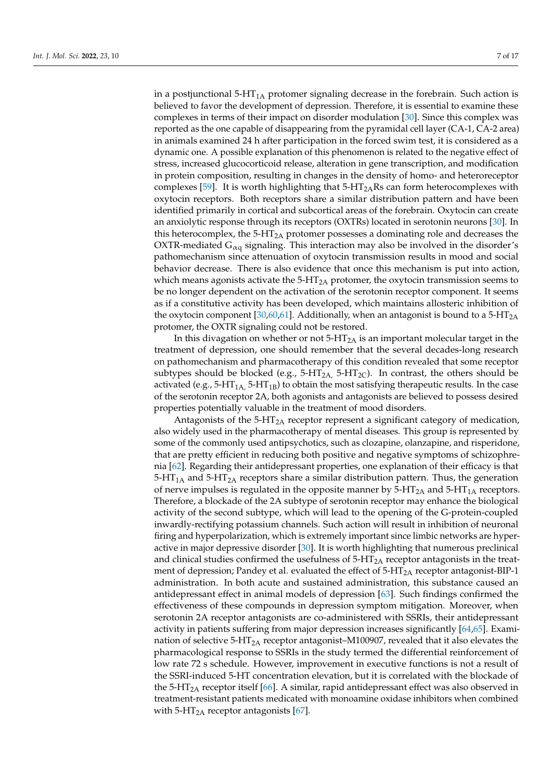in a postjunctional  $5-HT<sub>1A</sub>$  protomer signaling decrease in the forebrain. Such action is believed to favor the development of depression. Therefore, it is essential to examine these complexes in terms of their impact on disorder modulation [\[30\]](#page-13-21). Since this complex was reported as the one capable of disappearing from the pyramidal cell layer (CA-1, CA-2 area) in animals examined 24 h after participation in the forced swim test, it is considered as a dynamic one. A possible explanation of this phenomenon is related to the negative effect of stress, increased glucocorticoid release, alteration in gene transcription, and modification in protein composition, resulting in changes in the density of homo- and heteroreceptor complexes [\[59\]](#page-14-17). It is worth highlighting that  $5-HT<sub>2</sub>Rs$  can form heterocomplexes with oxytocin receptors. Both receptors share a similar distribution pattern and have been identified primarily in cortical and subcortical areas of the forebrain. Oxytocin can create an anxiolytic response through its receptors (OXTRs) located in serotonin neurons [\[30\]](#page-13-21). In this heterocomplex, the  $5-HT<sub>2A</sub>$  protomer possesses a dominating role and decreases the OXTR-mediated  $G_{\alpha q}$  signaling. This interaction may also be involved in the disorder's pathomechanism since attenuation of oxytocin transmission results in mood and social behavior decrease. There is also evidence that once this mechanism is put into action, which means agonists activate the  $5-HT_{2A}$  protomer, the oxytocin transmission seems to be no longer dependent on the activation of the serotonin receptor component. It seems as if a constitutive activity has been developed, which maintains allosteric inhibition of the oxytocin component [\[30,](#page-13-21)[60](#page-14-18)[,61\]](#page-14-19). Additionally, when an antagonist is bound to a  $5-HT<sub>2A</sub>$ protomer, the OXTR signaling could not be restored.

In this divagation on whether or not  $5-HT_{2A}$  is an important molecular target in the treatment of depression, one should remember that the several decades-long research on pathomechanism and pharmacotherapy of this condition revealed that some receptor subtypes should be blocked (e.g.,  $5-HT_{2A}$ ,  $5-HT_{2C}$ ). In contrast, the others should be activated (e.g.,  $5-HT_{1A}$ ,  $5-HT_{1B}$ ) to obtain the most satisfying therapeutic results. In the case of the serotonin receptor 2A, both agonists and antagonists are believed to possess desired properties potentially valuable in the treatment of mood disorders.

Antagonists of the  $5-HT<sub>2A</sub>$  receptor represent a significant category of medication, also widely used in the pharmacotherapy of mental diseases. This group is represented by some of the commonly used antipsychotics, such as clozapine, olanzapine, and risperidone, that are pretty efficient in reducing both positive and negative symptoms of schizophrenia [\[62\]](#page-14-20). Regarding their antidepressant properties, one explanation of their efficacy is that  $5-HT<sub>1A</sub>$  and  $5-HT<sub>2A</sub>$  receptors share a similar distribution pattern. Thus, the generation of nerve impulses is regulated in the opposite manner by  $5-HT_{2A}$  and  $5-HT_{1A}$  receptors. Therefore, a blockade of the 2A subtype of serotonin receptor may enhance the biological activity of the second subtype, which will lead to the opening of the G-protein-coupled inwardly-rectifying potassium channels. Such action will result in inhibition of neuronal firing and hyperpolarization, which is extremely important since limbic networks are hyperactive in major depressive disorder [\[30\]](#page-13-21). It is worth highlighting that numerous preclinical and clinical studies confirmed the usefulness of  $5-HT<sub>2</sub>A$  receptor antagonists in the treatment of depression; Pandey et al. evaluated the effect of 5-HT<sub>2A</sub> receptor antagonist-BIP-1 administration. In both acute and sustained administration, this substance caused an antidepressant effect in animal models of depression [\[63\]](#page-14-21). Such findings confirmed the effectiveness of these compounds in depression symptom mitigation. Moreover, when serotonin 2A receptor antagonists are co-administered with SSRIs, their antidepressant activity in patients suffering from major depression increases significantly [\[64,](#page-14-22)[65\]](#page-15-0). Examination of selective  $5-\text{HT}_{2A}$  receptor antagonist–M100907, revealed that it also elevates the pharmacological response to SSRIs in the study termed the differential reinforcement of low rate 72 s schedule. However, improvement in executive functions is not a result of the SSRI-induced 5-HT concentration elevation, but it is correlated with the blockade of the 5-HT<sub>2A</sub> receptor itself [\[66\]](#page-15-1). A similar, rapid antidepressant effect was also observed in treatment-resistant patients medicated with monoamine oxidase inhibitors when combined with  $5$ -HT<sub>2A</sub> receptor antagonists [\[67\]](#page-15-2).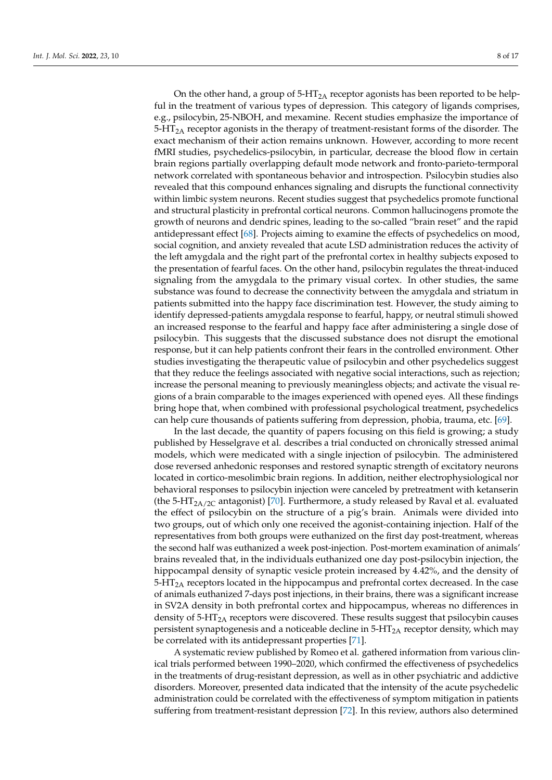On the other hand, a group of  $5-HT<sub>2A</sub>$  receptor agonists has been reported to be helpful in the treatment of various types of depression. This category of ligands comprises, e.g., psilocybin, 25-NBOH, and mexamine. Recent studies emphasize the importance of  $5-\text{HT}_{2A}$  receptor agonists in the therapy of treatment-resistant forms of the disorder. The exact mechanism of their action remains unknown. However, according to more recent fMRI studies, psychedelics-psilocybin, in particular, decrease the blood flow in certain brain regions partially overlapping default mode network and fronto-parieto-termporal network correlated with spontaneous behavior and introspection. Psilocybin studies also revealed that this compound enhances signaling and disrupts the functional connectivity within limbic system neurons. Recent studies suggest that psychedelics promote functional and structural plasticity in prefrontal cortical neurons. Common hallucinogens promote the growth of neurons and dendric spines, leading to the so-called "brain reset" and the rapid antidepressant effect [\[68\]](#page-15-3). Projects aiming to examine the effects of psychedelics on mood, social cognition, and anxiety revealed that acute LSD administration reduces the activity of the left amygdala and the right part of the prefrontal cortex in healthy subjects exposed to the presentation of fearful faces. On the other hand, psilocybin regulates the threat-induced signaling from the amygdala to the primary visual cortex. In other studies, the same substance was found to decrease the connectivity between the amygdala and striatum in patients submitted into the happy face discrimination test. However, the study aiming to identify depressed-patients amygdala response to fearful, happy, or neutral stimuli showed an increased response to the fearful and happy face after administering a single dose of psilocybin. This suggests that the discussed substance does not disrupt the emotional response, but it can help patients confront their fears in the controlled environment. Other studies investigating the therapeutic value of psilocybin and other psychedelics suggest that they reduce the feelings associated with negative social interactions, such as rejection; increase the personal meaning to previously meaningless objects; and activate the visual regions of a brain comparable to the images experienced with opened eyes. All these findings bring hope that, when combined with professional psychological treatment, psychedelics can help cure thousands of patients suffering from depression, phobia, trauma, etc. [\[69\]](#page-15-4).

In the last decade, the quantity of papers focusing on this field is growing; a study published by Hesselgrave et al. describes a trial conducted on chronically stressed animal models, which were medicated with a single injection of psilocybin. The administered dose reversed anhedonic responses and restored synaptic strength of excitatory neurons located in cortico-mesolimbic brain regions. In addition, neither electrophysiological nor behavioral responses to psilocybin injection were canceled by pretreatment with ketanserin (the 5-HT<sub>2A/2C</sub> antagonist) [\[70\]](#page-15-5). Furthermore, a study released by Raval et al. evaluated the effect of psilocybin on the structure of a pig's brain. Animals were divided into two groups, out of which only one received the agonist-containing injection. Half of the representatives from both groups were euthanized on the first day post-treatment, whereas the second half was euthanized a week post-injection. Post-mortem examination of animals' brains revealed that, in the individuals euthanized one day post-psilocybin injection, the hippocampal density of synaptic vesicle protein increased by 4.42%, and the density of  $5-HT<sub>2A</sub>$  receptors located in the hippocampus and prefrontal cortex decreased. In the case of animals euthanized 7-days post injections, in their brains, there was a significant increase in SV2A density in both prefrontal cortex and hippocampus, whereas no differences in density of 5-HT<sub>2A</sub> receptors were discovered. These results suggest that psilocybin causes persistent synaptogenesis and a noticeable decline in  $5-HT<sub>2A</sub>$  receptor density, which may be correlated with its antidepressant properties [\[71\]](#page-15-6).

A systematic review published by Romeo et al. gathered information from various clinical trials performed between 1990–2020, which confirmed the effectiveness of psychedelics in the treatments of drug-resistant depression, as well as in other psychiatric and addictive disorders. Moreover, presented data indicated that the intensity of the acute psychedelic administration could be correlated with the effectiveness of symptom mitigation in patients suffering from treatment-resistant depression [\[72\]](#page-15-7). In this review, authors also determined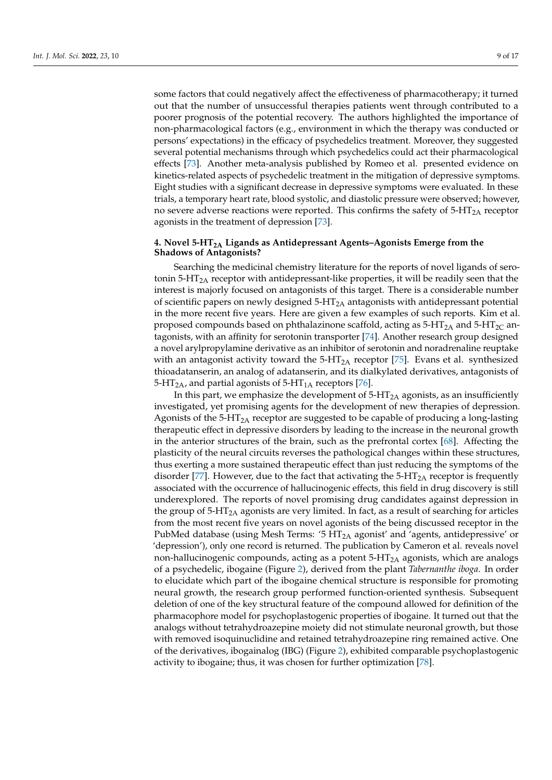some factors that could negatively affect the effectiveness of pharmacotherapy; it turned out that the number of unsuccessful therapies patients went through contributed to a poorer prognosis of the potential recovery. The authors highlighted the importance of non-pharmacological factors (e.g., environment in which the therapy was conducted or persons' expectations) in the efficacy of psychedelics treatment. Moreover, they suggested several potential mechanisms through which psychedelics could act their pharmacological effects [\[73\]](#page-15-8). Another meta-analysis published by Romeo et al. presented evidence on

kinetics-related aspects of psychedelic treatment in the mitigation of depressive symptoms. Eight studies with a significant decrease in depressive symptoms were evaluated. In these trials, a temporary heart rate, blood systolic, and diastolic pressure were observed; however, no severe adverse reactions were reported. This confirms the safety of  $5-HT<sub>2A</sub>$  receptor agonists in the treatment of depression [\[73\]](#page-15-8).

## **4. Novel 5-HT2A Ligands as Antidepressant Agents–Agonists Emerge from the Shadows of Antagonists?**

Searching the medicinal chemistry literature for the reports of novel ligands of serotonin  $5-HT<sub>2</sub>A$  receptor with antidepressant-like properties, it will be readily seen that the interest is majorly focused on antagonists of this target. There is a considerable number of scientific papers on newly designed  $5-HT_{2A}$  antagonists with antidepressant potential in the more recent five years. Here are given a few examples of such reports. Kim et al. proposed compounds based on phthalazinone scaffold, acting as  $5-HT_{2A}$  and  $5-HT_{2C}$  antagonists, with an affinity for serotonin transporter [\[74\]](#page-15-9). Another research group designed a novel arylpropylamine derivative as an inhibitor of serotonin and noradrenaline reuptake with an antagonist activity toward the  $5-HT_{2A}$  receptor [\[75\]](#page-15-10). Evans et al. synthesized thioadatanserin, an analog of adatanserin, and its dialkylated derivatives, antagonists of 5-HT<sub>2A</sub>, and partial agonists of 5-HT<sub>1A</sub> receptors [\[76\]](#page-15-11).

In this part, we emphasize the development of  $5-HT_{2A}$  agonists, as an insufficiently investigated, yet promising agents for the development of new therapies of depression. Agonists of the 5-HT2A receptor are suggested to be capable of producing a long-lasting therapeutic effect in depressive disorders by leading to the increase in the neuronal growth in the anterior structures of the brain, such as the prefrontal cortex [\[68\]](#page-15-3). Affecting the plasticity of the neural circuits reverses the pathological changes within these structures, thus exerting a more sustained therapeutic effect than just reducing the symptoms of the disorder [\[77\]](#page-15-12). However, due to the fact that activating the  $5-HT_{2A}$  receptor is frequently associated with the occurrence of hallucinogenic effects, this field in drug discovery is still underexplored. The reports of novel promising drug candidates against depression in the group of  $5-HT<sub>2A</sub>$  agonists are very limited. In fact, as a result of searching for articles from the most recent five years on novel agonists of the being discussed receptor in the PubMed database (using Mesh Terms: '5  $HT<sub>2A</sub>$  agonist' and 'agents, antidepressive' or 'depression'), only one record is returned. The publication by Cameron et al. reveals novel non-hallucinogenic compounds, acting as a potent  $5-HT<sub>2A</sub>$  agonists, which are analogs of a psychedelic, ibogaine (Figure [2\)](#page-9-0), derived from the plant *Tabernanthe iboga*. In order to elucidate which part of the ibogaine chemical structure is responsible for promoting neural growth, the research group performed function-oriented synthesis. Subsequent deletion of one of the key structural feature of the compound allowed for definition of the pharmacophore model for psychoplastogenic properties of ibogaine. It turned out that the analogs without tetrahydroazepine moiety did not stimulate neuronal growth, but those with removed isoquinuclidine and retained tetrahydroazepine ring remained active. One of the derivatives, ibogainalog (IBG) (Figure [2\)](#page-9-0), exhibited comparable psychoplastogenic activity to ibogaine; thus, it was chosen for further optimization [\[78\]](#page-15-13).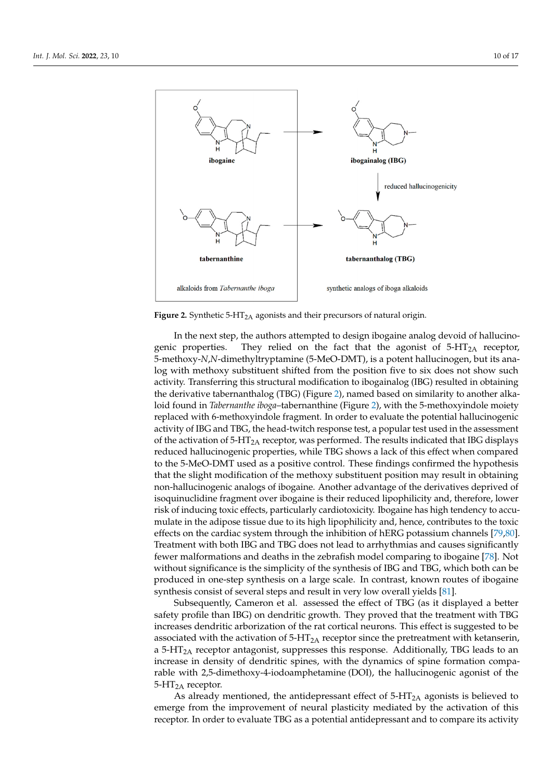<span id="page-9-0"></span>

further optimization  $\overline{\mathcal{P}}$ . The contract of  $\overline{\mathcal{P}}$ 

**Figure 2.** Synthetic 5-HT2A agonists and their precursors of natural origin. **Figure 2.** Synthetic 5-HT2A agonists and their precursors of natural origin.

genic properties. They relied on the fact that the agonist of 5-HT<sub>2A</sub> receptor, 5-methoxy-*N*,*N*-dimethyltryptamine (5-MeO-DMT), is a potent hallucinogen, but its analog with methoxy substituent shifted from the position five to six does not show such activity. Transferring this structural modification to ibogainalog (IBG) resulted in obtaining the derivative tabernanthalog (TBG) (Figure [2\)](#page-9-0), named based on similarity to another alkaloid found in *Tabernanthe iboga*–tabernanthine (Figure [2\)](#page-9-0), with the 5-methoxyindole moiety replaced with 6-methoxyindole fragment. In order to evaluate the potential hallucinogenic activity of IBG and TBG, the head-twitch response test, a popular test used in the assessment of the activation of 5-HT<sub>2A</sub> receptor, was performed. The results indicated that IBG displays reduced hallucinogenic properties, while TBG shows a lack of this effect when compared to the 5-MeO-DMT used as a positive control. These findings confirmed the hypothesis that the slight modification of the methoxy substituent position may result in obtaining non-hallucinogenic analogs of ibogaine. Another advantage of the derivatives deprived of isoquinuclidine fragment over ibogaine is their reduced lipophilicity and, therefore, lower risk of inducing toxic effects, particularly cardiotoxicity. Ibogaine has high tendency to accumulate in the adipose tissue due to its high lipophilicity and, hence, contributes to the toxic effects on the cardiac system through the inhibition of hERG potassium channels [79,80]. Treatment with both IBG and TBG does not lead to arrhythmias and causes significantly fewer malformations and deaths in the zebrafish model comparing to ibogaine [78]. Not without significance is the simplicity of the synthesis of IBG and TBG, which both can be produced in one-step synthesis on a large scale. In contrast, known routes of ibogaine In the next step, the authors attempted to design ibogaine analog devoid of hallucinosynthesis consist of several steps and result in very low overall yields [\[81\]](#page-15-16).

Subsequently, Cameron et al. assessed the effect of TBG (as it displayed a better safety profile than IBG) on dendritic growth. They proved that the treatment with TBG increases dendritic arborization of the rat cortical neurons. This effect is suggested to be associated with the activation of  $5-HT_{2A}$  receptor since the pretreatment with ketanserin, a 5-HT<sub>2A</sub> receptor antagonist, suppresses this response. Additionally, TBG leads to an increase in density of dendritic spines, with the dynamics of spine formation comparable with 2,5-dimethoxy-4-iodoamphetamine (DOI), the hallucinogenic agonist of the  $5-HT_{2A}$  receptor.

As already mentioned, the antidepressant effect of  $5-HT_{2A}$  agonists is believed to emerge from the improvement of neural plasticity mediated by the activation of this receptor. In order to evaluate TBG as a potential antidepressant and to compare its activity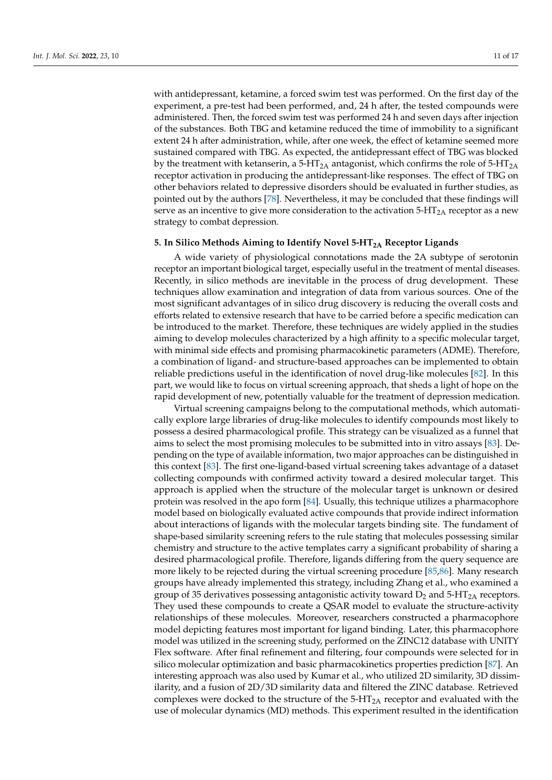with antidepressant, ketamine, a forced swim test was performed. On the first day of the experiment, a pre-test had been performed, and, 24 h after, the tested compounds were administered. Then, the forced swim test was performed 24 h and seven days after injection of the substances. Both TBG and ketamine reduced the time of immobility to a significant extent 24 h after administration, while, after one week, the effect of ketamine seemed more sustained compared with TBG. As expected, the antidepressant effect of TBG was blocked by the treatment with ketanserin, a 5-HT<sub>2A</sub> antagonist, which confirms the role of 5-HT<sub>2A</sub> receptor activation in producing the antidepressant-like responses. The effect of TBG on other behaviors related to depressive disorders should be evaluated in further studies, as pointed out by the authors [\[78\]](#page-15-13). Nevertheless, it may be concluded that these findings will serve as an incentive to give more consideration to the activation  $5-HT<sub>2A</sub>$  receptor as a new strategy to combat depression.

## **5. In Silico Methods Aiming to Identify Novel 5-HT2A Receptor Ligands**

A wide variety of physiological connotations made the 2A subtype of serotonin receptor an important biological target, especially useful in the treatment of mental diseases. Recently, in silico methods are inevitable in the process of drug development. These techniques allow examination and integration of data from various sources. One of the most significant advantages of in silico drug discovery is reducing the overall costs and efforts related to extensive research that have to be carried before a specific medication can be introduced to the market. Therefore, these techniques are widely applied in the studies aiming to develop molecules characterized by a high affinity to a specific molecular target, with minimal side effects and promising pharmacokinetic parameters (ADME). Therefore, a combination of ligand- and structure-based approaches can be implemented to obtain reliable predictions useful in the identification of novel drug-like molecules [\[82\]](#page-15-17). In this part, we would like to focus on virtual screening approach, that sheds a light of hope on the rapid development of new, potentially valuable for the treatment of depression medication.

Virtual screening campaigns belong to the computational methods, which automatically explore large libraries of drug-like molecules to identify compounds most likely to possess a desired pharmacological profile. This strategy can be visualized as a funnel that aims to select the most promising molecules to be submitted into in vitro assays [\[83\]](#page-15-18). Depending on the type of available information, two major approaches can be distinguished in this context [\[83\]](#page-15-18). The first one-ligand-based virtual screening takes advantage of a dataset collecting compounds with confirmed activity toward a desired molecular target. This approach is applied when the structure of the molecular target is unknown or desired protein was resolved in the apo form [\[84\]](#page-15-19). Usually, this technique utilizes a pharmacophore model based on biologically evaluated active compounds that provide indirect information about interactions of ligands with the molecular targets binding site. The fundament of shape-based similarity screening refers to the rule stating that molecules possessing similar chemistry and structure to the active templates carry a significant probability of sharing a desired pharmacological profile. Therefore, ligands differing from the query sequence are more likely to be rejected during the virtual screening procedure [\[85,](#page-15-20)[86\]](#page-15-21). Many research groups have already implemented this strategy, including Zhang et al., who examined a group of 35 derivatives possessing antagonistic activity toward  $D_2$  and 5-HT<sub>2A</sub> receptors. They used these compounds to create a QSAR model to evaluate the structure-activity relationships of these molecules. Moreover, researchers constructed a pharmacophore model depicting features most important for ligand binding. Later, this pharmacophore model was utilized in the screening study, performed on the ZINC12 database with UNITY Flex software. After final refinement and filtering, four compounds were selected for in silico molecular optimization and basic pharmacokinetics properties prediction [\[87\]](#page-15-22). An interesting approach was also used by Kumar et al., who utilized 2D similarity, 3D dissimilarity, and a fusion of 2D/3D similarity data and filtered the ZINC database. Retrieved complexes were docked to the structure of the  $5-HT_{2A}$  receptor and evaluated with the use of molecular dynamics (MD) methods. This experiment resulted in the identification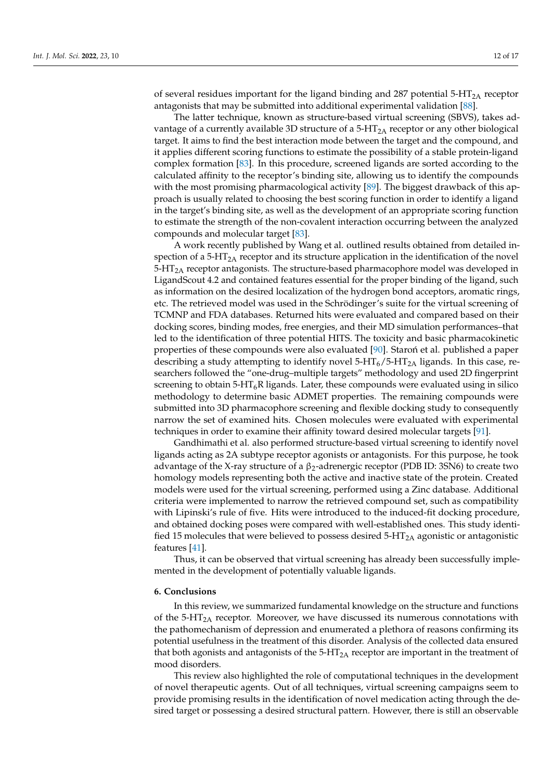of several residues important for the ligand binding and 287 potential  $5-HT<sub>2A</sub>$  receptor antagonists that may be submitted into additional experimental validation [\[88\]](#page-15-23).

The latter technique, known as structure-based virtual screening (SBVS), takes advantage of a currently available 3D structure of a  $5-HT<sub>2A</sub>$  receptor or any other biological target. It aims to find the best interaction mode between the target and the compound, and it applies different scoring functions to estimate the possibility of a stable protein-ligand complex formation [\[83\]](#page-15-18). In this procedure, screened ligands are sorted according to the calculated affinity to the receptor's binding site, allowing us to identify the compounds with the most promising pharmacological activity [\[89\]](#page-15-24). The biggest drawback of this approach is usually related to choosing the best scoring function in order to identify a ligand in the target's binding site, as well as the development of an appropriate scoring function to estimate the strength of the non-covalent interaction occurring between the analyzed compounds and molecular target [\[83\]](#page-15-18).

A work recently published by Wang et al. outlined results obtained from detailed inspection of a 5-HT<sub>2A</sub> receptor and its structure application in the identification of the novel  $5-\text{HT}_{2A}$  receptor antagonists. The structure-based pharmacophore model was developed in LigandScout 4.2 and contained features essential for the proper binding of the ligand, such as information on the desired localization of the hydrogen bond acceptors, aromatic rings, etc. The retrieved model was used in the Schrödinger's suite for the virtual screening of TCMNP and FDA databases. Returned hits were evaluated and compared based on their docking scores, binding modes, free energies, and their MD simulation performances–that led to the identification of three potential HITS. The toxicity and basic pharmacokinetic properties of these compounds were also evaluated [\[90\]](#page-16-0). Staron et al. published a paper describing a study attempting to identify novel  $5-HT_6/5-HT_{2A}$  ligands. In this case, researchers followed the "one-drug–multiple targets" methodology and used 2D fingerprint screening to obtain  $5-\text{HT}_6R$  ligands. Later, these compounds were evaluated using in silico methodology to determine basic ADMET properties. The remaining compounds were submitted into 3D pharmacophore screening and flexible docking study to consequently narrow the set of examined hits. Chosen molecules were evaluated with experimental techniques in order to examine their affinity toward desired molecular targets [\[91\]](#page-16-1).

Gandhimathi et al. also performed structure-based virtual screening to identify novel ligands acting as 2A subtype receptor agonists or antagonists. For this purpose, he took advantage of the X-ray structure of a  $\beta_2$ -adrenergic receptor (PDB ID: 3SN6) to create two homology models representing both the active and inactive state of the protein. Created models were used for the virtual screening, performed using a Zinc database. Additional criteria were implemented to narrow the retrieved compound set, such as compatibility with Lipinski's rule of five. Hits were introduced to the induced-fit docking procedure, and obtained docking poses were compared with well-established ones. This study identified 15 molecules that were believed to possess desired  $5-HT<sub>2A</sub>$  agonistic or antagonistic features [\[41\]](#page-14-6).

Thus, it can be observed that virtual screening has already been successfully implemented in the development of potentially valuable ligands.

## **6. Conclusions**

In this review, we summarized fundamental knowledge on the structure and functions of the 5-HT<sub>2A</sub> receptor. Moreover, we have discussed its numerous connotations with the pathomechanism of depression and enumerated a plethora of reasons confirming its potential usefulness in the treatment of this disorder. Analysis of the collected data ensured that both agonists and antagonists of the  $5-HT_{2A}$  receptor are important in the treatment of mood disorders.

This review also highlighted the role of computational techniques in the development of novel therapeutic agents. Out of all techniques, virtual screening campaigns seem to provide promising results in the identification of novel medication acting through the desired target or possessing a desired structural pattern. However, there is still an observable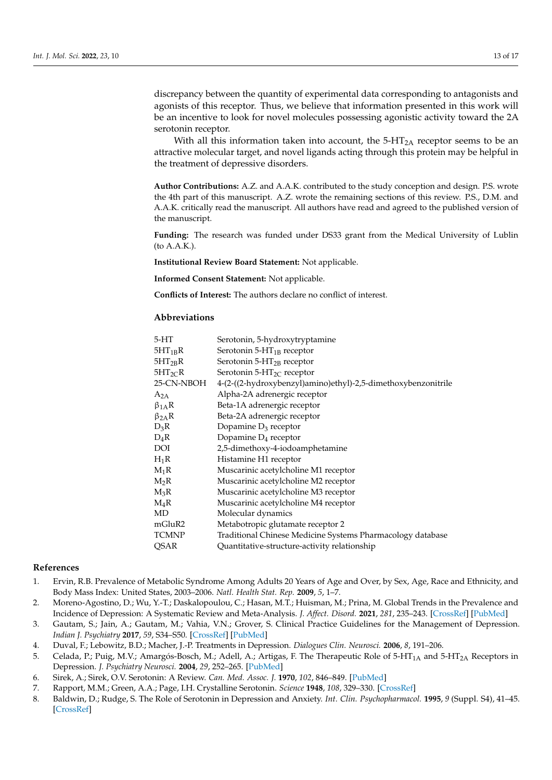discrepancy between the quantity of experimental data corresponding to antagonists and agonists of this receptor. Thus, we believe that information presented in this work will be an incentive to look for novel molecules possessing agonistic activity toward the 2A serotonin receptor.

With all this information taken into account, the  $5-HT<sub>2A</sub>$  receptor seems to be an attractive molecular target, and novel ligands acting through this protein may be helpful in the treatment of depressive disorders.

**Author Contributions:** A.Z. and A.A.K. contributed to the study conception and design. P.S. wrote the 4th part of this manuscript. A.Z. wrote the remaining sections of this review. P.S., D.M. and A.A.K. critically read the manuscript. All authors have read and agreed to the published version of the manuscript.

**Funding:** The research was funded under DS33 grant from the Medical University of Lublin (to A.A.K.).

**Institutional Review Board Statement:** Not applicable.

**Informed Consent Statement:** Not applicable.

**Conflicts of Interest:** The authors declare no conflict of interest.

## **Abbreviations**

| $5-HT$        | Serotonin, 5-hydroxytryptamine                                |
|---------------|---------------------------------------------------------------|
| $5HT_{1B}R$   | Serotonin 5- $HT_{1B}$ receptor                               |
| $5HT_{2R}R$   | Serotonin 5- $HT_{2B}$ receptor                               |
| $5HT_{2}CR$   | Serotonin 5-HT <sub>2C</sub> receptor                         |
| 25-CN-NBOH    | 4-(2-((2-hydroxybenzyl)amino)ethyl)-2,5-dimethoxybenzonitrile |
| $A_{2A}$      | Alpha-2A adrenergic receptor                                  |
| $\beta_{1A}R$ | Beta-1A adrenergic receptor                                   |
| $\beta_{2A}R$ | Beta-2A adrenergic receptor                                   |
| $D_3R$        | Dopamine D <sub>3</sub> receptor                              |
| $D_4R$        | Dopamine $D_4$ receptor                                       |
| DOI           | 2,5-dimethoxy-4-iodoamphetamine                               |
| $H_1R$        | Histamine H1 receptor                                         |
| $M_1R$        | Muscarinic acetylcholine M1 receptor                          |
| $M_2R$        | Muscarinic acetylcholine M2 receptor                          |
| $M_3R$        | Muscarinic acetylcholine M3 receptor                          |
| $M_4R$        | Muscarinic acetylcholine M4 receptor                          |
| MD            | Molecular dynamics                                            |
| mGluR2        | Metabotropic glutamate receptor 2                             |
| <b>TCMNP</b>  | Traditional Chinese Medicine Systems Pharmacology database    |
| <b>QSAR</b>   | Quantitative-structure-activity relationship                  |

## **References**

- <span id="page-12-0"></span>1. Ervin, R.B. Prevalence of Metabolic Syndrome Among Adults 20 Years of Age and Over, by Sex, Age, Race and Ethnicity, and Body Mass Index: United States, 2003–2006. *Natl. Health Stat. Rep.* **2009**, *5*, 1–7.
- <span id="page-12-1"></span>2. Moreno-Agostino, D.; Wu, Y.-T.; Daskalopoulou, C.; Hasan, M.T.; Huisman, M.; Prina, M. Global Trends in the Prevalence and Incidence of Depression: A Systematic Review and Meta-Analysis. *J. Affect. Disord.* **2021**, *281*, 235–243. [\[CrossRef\]](http://doi.org/10.1016/j.jad.2020.12.035) [\[PubMed\]](http://www.ncbi.nlm.nih.gov/pubmed/33338841)
- <span id="page-12-2"></span>3. Gautam, S.; Jain, A.; Gautam, M.; Vahia, V.N.; Grover, S. Clinical Practice Guidelines for the Management of Depression. *Indian J. Psychiatry* **2017**, *59*, S34–S50. [\[CrossRef\]](http://doi.org/10.4103/0019-5545.196973) [\[PubMed\]](http://www.ncbi.nlm.nih.gov/pubmed/28216784)
- <span id="page-12-3"></span>4. Duval, F.; Lebowitz, B.D.; Macher, J.-P. Treatments in Depression. *Dialogues Clin. Neurosci.* **2006**, *8*, 191–206.
- <span id="page-12-4"></span>5. Celada, P.; Puig, M.V.; Amargós-Bosch, M.; Adell, A.; Artigas, F. The Therapeutic Role of 5-HT<sub>1A</sub> and 5-HT<sub>2A</sub> Receptors in Depression. *J. Psychiatry Neurosci.* **2004**, *29*, 252–265. [\[PubMed\]](http://www.ncbi.nlm.nih.gov/pubmed/15309042)
- <span id="page-12-5"></span>6. Sirek, A.; Sirek, O.V. Serotonin: A Review. *Can. Med. Assoc. J.* **1970**, *102*, 846–849. [\[PubMed\]](http://www.ncbi.nlm.nih.gov/pubmed/4910705)
- <span id="page-12-6"></span>7. Rapport, M.M.; Green, A.A.; Page, I.H. Crystalline Serotonin. *Science* **1948**, *108*, 329–330. [\[CrossRef\]](http://doi.org/10.1126/science.108.2804.329)
- <span id="page-12-7"></span>8. Baldwin, D.; Rudge, S. The Role of Serotonin in Depression and Anxiety. *Int. Clin. Psychopharmacol.* **1995**, *9* (Suppl. S4), 41–45. [\[CrossRef\]](http://doi.org/10.1097/00004850-199501004-00006)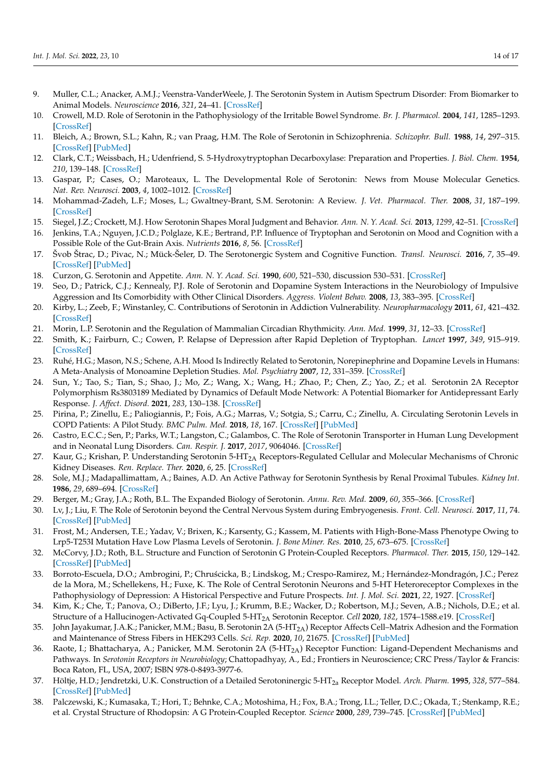- <span id="page-13-0"></span>9. Muller, C.L.; Anacker, A.M.J.; Veenstra-VanderWeele, J. The Serotonin System in Autism Spectrum Disorder: From Biomarker to Animal Models. *Neuroscience* **2016**, *321*, 24–41. [\[CrossRef\]](http://doi.org/10.1016/j.neuroscience.2015.11.010)
- <span id="page-13-1"></span>10. Crowell, M.D. Role of Serotonin in the Pathophysiology of the Irritable Bowel Syndrome. *Br. J. Pharmacol.* **2004**, *141*, 1285–1293. [\[CrossRef\]](http://doi.org/10.1038/sj.bjp.0705762)
- <span id="page-13-2"></span>11. Bleich, A.; Brown, S.L.; Kahn, R.; van Praag, H.M. The Role of Serotonin in Schizophrenia. *Schizophr. Bull.* **1988**, *14*, 297–315. [\[CrossRef\]](http://doi.org/10.1093/schbul/14.2.297) [\[PubMed\]](http://www.ncbi.nlm.nih.gov/pubmed/3059473)
- <span id="page-13-3"></span>12. Clark, C.T.; Weissbach, H.; Udenfriend, S. 5-Hydroxytryptophan Decarboxylase: Preparation and Properties. *J. Biol. Chem.* **1954**, *210*, 139–148. [\[CrossRef\]](http://doi.org/10.1016/S0021-9258(18)65440-7)
- <span id="page-13-4"></span>13. Gaspar, P.; Cases, O.; Maroteaux, L. The Developmental Role of Serotonin: News from Mouse Molecular Genetics. *Nat. Rev. Neurosci.* **2003**, *4*, 1002–1012. [\[CrossRef\]](http://doi.org/10.1038/nrn1256)
- <span id="page-13-5"></span>14. Mohammad-Zadeh, L.F.; Moses, L.; Gwaltney-Brant, S.M. Serotonin: A Review. *J. Vet. Pharmacol. Ther.* **2008**, *31*, 187–199. [\[CrossRef\]](http://doi.org/10.1111/j.1365-2885.2008.00944.x)
- <span id="page-13-6"></span>15. Siegel, J.Z.; Crockett, M.J. How Serotonin Shapes Moral Judgment and Behavior. *Ann. N. Y. Acad. Sci.* **2013**, *1299*, 42–51. [\[CrossRef\]](http://doi.org/10.1111/nyas.12229)
- <span id="page-13-7"></span>16. Jenkins, T.A.; Nguyen, J.C.D.; Polglaze, K.E.; Bertrand, P.P. Influence of Tryptophan and Serotonin on Mood and Cognition with a Possible Role of the Gut-Brain Axis. *Nutrients* **2016**, *8*, 56. [\[CrossRef\]](http://doi.org/10.3390/nu8010056)
- <span id="page-13-8"></span>17. Švob Štrac, D.; Pivac, N.; Mück-Šeler, D. The Serotonergic System and Cognitive Function. *Transl. Neurosci.* **2016**, *7*, 35–49. [\[CrossRef\]](http://doi.org/10.1515/tnsci-2016-0007) [\[PubMed\]](http://www.ncbi.nlm.nih.gov/pubmed/28123820)
- <span id="page-13-9"></span>18. Curzon, G. Serotonin and Appetite. *Ann. N. Y. Acad. Sci.* **1990**, *600*, 521–530, discussion 530–531. [\[CrossRef\]](http://doi.org/10.1111/j.1749-6632.1990.tb16907.x)
- <span id="page-13-10"></span>19. Seo, D.; Patrick, C.J.; Kennealy, P.J. Role of Serotonin and Dopamine System Interactions in the Neurobiology of Impulsive Aggression and Its Comorbidity with Other Clinical Disorders. *Aggress. Violent Behav.* **2008**, *13*, 383–395. [\[CrossRef\]](http://doi.org/10.1016/j.avb.2008.06.003)
- <span id="page-13-11"></span>20. Kirby, L.; Zeeb, F.; Winstanley, C. Contributions of Serotonin in Addiction Vulnerability. *Neuropharmacology* **2011**, *61*, 421–432. [\[CrossRef\]](http://doi.org/10.1016/j.neuropharm.2011.03.022)
- <span id="page-13-12"></span>21. Morin, L.P. Serotonin and the Regulation of Mammalian Circadian Rhythmicity. *Ann. Med.* **1999**, *31*, 12–33. [\[CrossRef\]](http://doi.org/10.3109/07853899909019259)
- <span id="page-13-13"></span>22. Smith, K.; Fairburn, C.; Cowen, P. Relapse of Depression after Rapid Depletion of Tryptophan. *Lancet* **1997**, *349*, 915–919. [\[CrossRef\]](http://doi.org/10.1016/S0140-6736(96)07044-4)
- <span id="page-13-14"></span>23. Ruhé, H.G.; Mason, N.S.; Schene, A.H. Mood Is Indirectly Related to Serotonin, Norepinephrine and Dopamine Levels in Humans: A Meta-Analysis of Monoamine Depletion Studies. *Mol. Psychiatry* **2007**, *12*, 331–359. [\[CrossRef\]](http://doi.org/10.1038/sj.mp.4001949)
- <span id="page-13-15"></span>24. Sun, Y.; Tao, S.; Tian, S.; Shao, J.; Mo, Z.; Wang, X.; Wang, H.; Zhao, P.; Chen, Z.; Yao, Z.; et al. Serotonin 2A Receptor Polymorphism Rs3803189 Mediated by Dynamics of Default Mode Network: A Potential Biomarker for Antidepressant Early Response. *J. Affect. Disord.* **2021**, *283*, 130–138. [\[CrossRef\]](http://doi.org/10.1016/j.jad.2021.01.047)
- <span id="page-13-16"></span>25. Pirina, P.; Zinellu, E.; Paliogiannis, P.; Fois, A.G.; Marras, V.; Sotgia, S.; Carru, C.; Zinellu, A. Circulating Serotonin Levels in COPD Patients: A Pilot Study. *BMC Pulm. Med.* **2018**, *18*, 167. [\[CrossRef\]](http://doi.org/10.1186/s12890-018-0730-5) [\[PubMed\]](http://www.ncbi.nlm.nih.gov/pubmed/30409142)
- <span id="page-13-17"></span>26. Castro, E.C.C.; Sen, P.; Parks, W.T.; Langston, C.; Galambos, C. The Role of Serotonin Transporter in Human Lung Development and in Neonatal Lung Disorders. *Can. Respir. J.* **2017**, *2017*, 9064046. [\[CrossRef\]](http://doi.org/10.1155/2017/9064046)
- <span id="page-13-18"></span>27. Kaur, G.; Krishan, P. Understanding Serotonin 5-HT<sub>2A</sub> Receptors-Regulated Cellular and Molecular Mechanisms of Chronic Kidney Diseases. *Ren. Replace. Ther.* **2020**, *6*, 25. [\[CrossRef\]](http://doi.org/10.1186/s41100-020-00268-x)
- <span id="page-13-19"></span>28. Sole, M.J.; Madapallimattam, A.; Baines, A.D. An Active Pathway for Serotonin Synthesis by Renal Proximal Tubules. *Kidney Int.* **1986**, *29*, 689–694. [\[CrossRef\]](http://doi.org/10.1038/ki.1986.53)
- <span id="page-13-20"></span>29. Berger, M.; Gray, J.A.; Roth, B.L. The Expanded Biology of Serotonin. *Annu. Rev. Med.* **2009**, *60*, 355–366. [\[CrossRef\]](http://doi.org/10.1146/annurev.med.60.042307.110802)
- <span id="page-13-21"></span>30. Lv, J.; Liu, F. The Role of Serotonin beyond the Central Nervous System during Embryogenesis. *Front. Cell. Neurosci.* **2017**, *11*, 74. [\[CrossRef\]](http://doi.org/10.3389/fnpit.2017.00400) [\[PubMed\]](http://www.ncbi.nlm.nih.gov/pubmed/28348520)
- <span id="page-13-22"></span>31. Frost, M.; Andersen, T.E.; Yadav, V.; Brixen, K.; Karsenty, G.; Kassem, M. Patients with High-Bone-Mass Phenotype Owing to Lrp5-T253I Mutation Have Low Plasma Levels of Serotonin. *J. Bone Miner. Res.* **2010**, *25*, 673–675. [\[CrossRef\]](http://doi.org/10.1002/jbmr.44)
- <span id="page-13-23"></span>32. McCorvy, J.D.; Roth, B.L. Structure and Function of Serotonin G Protein-Coupled Receptors. *Pharmacol. Ther.* **2015**, *150*, 129–142. [\[CrossRef\]](http://doi.org/10.1016/j.pharmthera.2015.01.009) [\[PubMed\]](http://www.ncbi.nlm.nih.gov/pubmed/25601315)
- <span id="page-13-24"></span>33. Borroto-Escuela, D.O.; Ambrogini, P.; Chru´scicka, B.; Lindskog, M.; Crespo-Ramirez, M.; Hernández-Mondragón, J.C.; Perez de la Mora, M.; Schellekens, H.; Fuxe, K. The Role of Central Serotonin Neurons and 5-HT Heteroreceptor Complexes in the Pathophysiology of Depression: A Historical Perspective and Future Prospects. *Int. J. Mol. Sci.* **2021**, *22*, 1927. [\[CrossRef\]](http://doi.org/10.3390/ijms22041927)
- <span id="page-13-25"></span>34. Kim, K.; Che, T.; Panova, O.; DiBerto, J.F.; Lyu, J.; Krumm, B.E.; Wacker, D.; Robertson, M.J.; Seven, A.B.; Nichols, D.E.; et al. Structure of a Hallucinogen-Activated Gq-Coupled 5-HT2A Serotonin Receptor. *Cell* **2020**, *182*, 1574–1588.e19. [\[CrossRef\]](http://doi.org/10.1016/j.cell.2020.08.024)
- <span id="page-13-29"></span>35. John Jayakumar, J.A.K.; Panicker, M.M.; Basu, B. Serotonin 2A (5-HT2A) Receptor Affects Cell–Matrix Adhesion and the Formation and Maintenance of Stress Fibers in HEK293 Cells. *Sci. Rep.* **2020**, *10*, 21675. [\[CrossRef\]](http://doi.org/10.1038/s41598-020-78595-6) [\[PubMed\]](http://www.ncbi.nlm.nih.gov/pubmed/33303826)
- <span id="page-13-26"></span>36. Raote, I.; Bhattacharya, A.; Panicker, M.M. Serotonin 2A (5-HT<sub>2A</sub>) Receptor Function: Ligand-Dependent Mechanisms and Pathways. In *Serotonin Receptors in Neurobiology*; Chattopadhyay, A., Ed.; Frontiers in Neuroscience; CRC Press/Taylor & Francis: Boca Raton, FL, USA, 2007; ISBN 978-0-8493-3977-6.
- <span id="page-13-27"></span>37. Höltje, H.D.; Jendretzki, U.K. Construction of a Detailed Serotoninergic 5-HT2a Receptor Model. *Arch. Pharm.* **1995**, *328*, 577–584. [\[CrossRef\]](http://doi.org/10.1002/ardp.19953280704) [\[PubMed\]](http://www.ncbi.nlm.nih.gov/pubmed/7492262)
- <span id="page-13-28"></span>38. Palczewski, K.; Kumasaka, T.; Hori, T.; Behnke, C.A.; Motoshima, H.; Fox, B.A.; Trong, I.L.; Teller, D.C.; Okada, T.; Stenkamp, R.E.; et al. Crystal Structure of Rhodopsin: A G Protein-Coupled Receptor. *Science* **2000**, *289*, 739–745. [\[CrossRef\]](http://doi.org/10.1126/science.289.5480.739) [\[PubMed\]](http://www.ncbi.nlm.nih.gov/pubmed/10926528)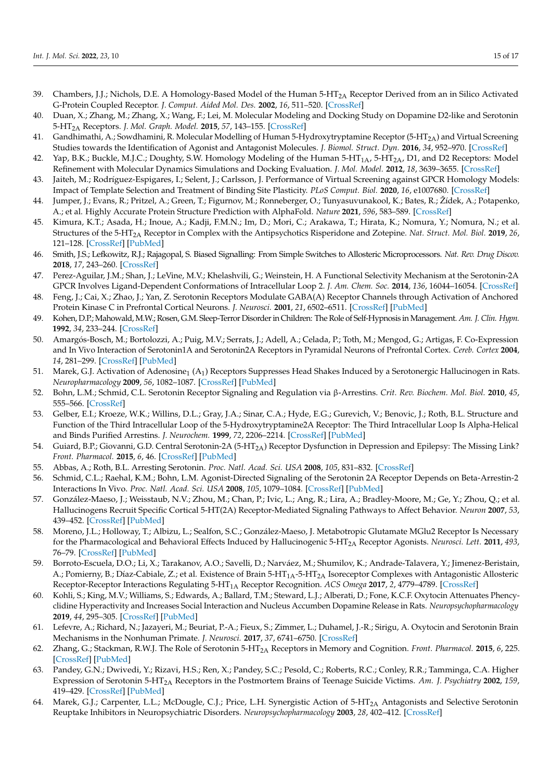- <span id="page-14-0"></span>39. Chambers, J.J.; Nichols, D.E. A Homology-Based Model of the Human 5-HT2A Receptor Derived from an in Silico Activated G-Protein Coupled Receptor. *J. Comput. Aided Mol. Des.* **2002**, *16*, 511–520. [\[CrossRef\]](http://doi.org/10.1023/A:1021275430021)
- <span id="page-14-1"></span>40. Duan, X.; Zhang, M.; Zhang, X.; Wang, F.; Lei, M. Molecular Modeling and Docking Study on Dopamine D2-like and Serotonin 5-HT2A Receptors. *J. Mol. Graph. Model.* **2015**, *57*, 143–155. [\[CrossRef\]](http://doi.org/10.1016/j.jmgm.2015.01.014)
- <span id="page-14-6"></span>41. Gandhimathi, A.; Sowdhamini, R. Molecular Modelling of Human 5-Hydroxytryptamine Receptor (5-HT<sub>2A</sub>) and Virtual Screening Studies towards the Identification of Agonist and Antagonist Molecules. *J. Biomol. Struct. Dyn.* **2016**, *34*, 952–970. [\[CrossRef\]](http://doi.org/10.1080/07391102.2015.1062802)
- <span id="page-14-2"></span>42. Yap, B.K.; Buckle, M.J.C.; Doughty, S.W. Homology Modeling of the Human 5-HT<sub>1A</sub>, 5-HT<sub>2A</sub>, D1, and D2 Receptors: Model Refinement with Molecular Dynamics Simulations and Docking Evaluation. *J. Mol. Model.* **2012**, *18*, 3639–3655. [\[CrossRef\]](http://doi.org/10.1007/s00894-012-1368-5)
- <span id="page-14-3"></span>43. Jaiteh, M.; Rodríguez-Espigares, I.; Selent, J.; Carlsson, J. Performance of Virtual Screening against GPCR Homology Models: Impact of Template Selection and Treatment of Binding Site Plasticity. *PLoS Comput. Biol.* **2020**, *16*, e1007680. [\[CrossRef\]](http://doi.org/10.1371/journal.pcbi.1007680)
- <span id="page-14-4"></span>44. Jumper, J.; Evans, R.; Pritzel, A.; Green, T.; Figurnov, M.; Ronneberger, O.; Tunyasuvunakool, K.; Bates, R.; Žídek, A.; Potapenko, A.; et al. Highly Accurate Protein Structure Prediction with AlphaFold. *Nature* **2021**, *596*, 583–589. [\[CrossRef\]](http://doi.org/10.1038/s41586-021-03819-2)
- <span id="page-14-5"></span>45. Kimura, K.T.; Asada, H.; Inoue, A.; Kadji, F.M.N.; Im, D.; Mori, C.; Arakawa, T.; Hirata, K.; Nomura, Y.; Nomura, N.; et al. Structures of the 5-HT2A Receptor in Complex with the Antipsychotics Risperidone and Zotepine. *Nat. Struct. Mol. Biol.* **2019**, *26*, 121–128. [\[CrossRef\]](http://doi.org/10.1038/s41594-018-0180-z) [\[PubMed\]](http://www.ncbi.nlm.nih.gov/pubmed/30723326)
- <span id="page-14-7"></span>46. Smith, J.S.; Lefkowitz, R.J.; Rajagopal, S. Biased Signalling: From Simple Switches to Allosteric Microprocessors. *Nat. Rev. Drug Discov.* **2018**, *17*, 243–260. [\[CrossRef\]](http://doi.org/10.1038/nrd.2017.229)
- <span id="page-14-8"></span>47. Perez-Aguilar, J.M.; Shan, J.; LeVine, M.V.; Khelashvili, G.; Weinstein, H. A Functional Selectivity Mechanism at the Serotonin-2A GPCR Involves Ligand-Dependent Conformations of Intracellular Loop 2. *J. Am. Chem. Soc.* **2014**, *136*, 16044–16054. [\[CrossRef\]](http://doi.org/10.1021/ja508394x)
- <span id="page-14-9"></span>48. Feng, J.; Cai, X.; Zhao, J.; Yan, Z. Serotonin Receptors Modulate GABA(A) Receptor Channels through Activation of Anchored Protein Kinase C in Prefrontal Cortical Neurons. *J. Neurosci.* **2001**, *21*, 6502–6511. [\[CrossRef\]](http://doi.org/10.1523/JNEUROSCI.21-17-06502.2001) [\[PubMed\]](http://www.ncbi.nlm.nih.gov/pubmed/11517239)
- 49. Kohen, D.P.; Mahowald, M.W.; Rosen, G.M. Sleep-Terror Disorder in Children: The Role of Self-Hypnosis in Management. *Am. J. Clin. Hypn.* **1992**, *34*, 233–244. [\[CrossRef\]](http://doi.org/10.1080/00029157.1992.10402853)
- 50. Amargós-Bosch, M.; Bortolozzi, A.; Puig, M.V.; Serrats, J.; Adell, A.; Celada, P.; Toth, M.; Mengod, G.; Artigas, F. Co-Expression and In Vivo Interaction of Serotonin1A and Serotonin2A Receptors in Pyramidal Neurons of Prefrontal Cortex. *Cereb. Cortex* **2004**, *14*, 281–299. [\[CrossRef\]](http://doi.org/10.1093/cercor/bhg128) [\[PubMed\]](http://www.ncbi.nlm.nih.gov/pubmed/14754868)
- <span id="page-14-10"></span>51. Marek, G.J. Activation of Adenosine<sub>1</sub> (A<sub>1</sub>) Receptors Suppresses Head Shakes Induced by a Serotonergic Hallucinogen in Rats. *Neuropharmacology* **2009**, *56*, 1082–1087. [\[CrossRef\]](http://doi.org/10.1016/j.neuropharm.2009.03.005) [\[PubMed\]](http://www.ncbi.nlm.nih.gov/pubmed/19324062)
- <span id="page-14-11"></span>52. Bohn, L.M.; Schmid, C.L. Serotonin Receptor Signaling and Regulation via β-Arrestins. *Crit. Rev. Biochem. Mol. Biol.* **2010**, *45*, 555–566. [\[CrossRef\]](http://doi.org/10.3109/10409238.2010.516741)
- <span id="page-14-12"></span>53. Gelber, E.I.; Kroeze, W.K.; Willins, D.L.; Gray, J.A.; Sinar, C.A.; Hyde, E.G.; Gurevich, V.; Benovic, J.; Roth, B.L. Structure and Function of the Third Intracellular Loop of the 5-Hydroxytryptamine2A Receptor: The Third Intracellular Loop Is Alpha-Helical and Binds Purified Arrestins. *J. Neurochem.* **1999**, *72*, 2206–2214. [\[CrossRef\]](http://doi.org/10.1046/j.1471-4159.1999.0722206.x) [\[PubMed\]](http://www.ncbi.nlm.nih.gov/pubmed/10217304)
- <span id="page-14-13"></span>54. Guiard, B.P.; Giovanni, G.D. Central Serotonin-2A (5-HT<sub>2A</sub>) Receptor Dysfunction in Depression and Epilepsy: The Missing Link? *Front. Pharmacol.* **2015**, *6*, 46. [\[CrossRef\]](http://doi.org/10.3389/fphar.2015.00046) [\[PubMed\]](http://www.ncbi.nlm.nih.gov/pubmed/25852551)
- 55. Abbas, A.; Roth, B.L. Arresting Serotonin. *Proc. Natl. Acad. Sci. USA* **2008**, *105*, 831–832. [\[CrossRef\]](http://doi.org/10.1073/pnas.0711335105)
- <span id="page-14-14"></span>56. Schmid, C.L.; Raehal, K.M.; Bohn, L.M. Agonist-Directed Signaling of the Serotonin 2A Receptor Depends on Beta-Arrestin-2 Interactions In Vivo. *Proc. Natl. Acad. Sci. USA* **2008**, *105*, 1079–1084. [\[CrossRef\]](http://doi.org/10.1073/pnas.0708862105) [\[PubMed\]](http://www.ncbi.nlm.nih.gov/pubmed/18195357)
- <span id="page-14-15"></span>57. González-Maeso, J.; Weisstaub, N.V.; Zhou, M.; Chan, P.; Ivic, L.; Ang, R.; Lira, A.; Bradley-Moore, M.; Ge, Y.; Zhou, Q.; et al. Hallucinogens Recruit Specific Cortical 5-HT(2A) Receptor-Mediated Signaling Pathways to Affect Behavior. *Neuron* **2007**, *53*, 439–452. [\[CrossRef\]](http://doi.org/10.1016/j.neuron.2007.01.008) [\[PubMed\]](http://www.ncbi.nlm.nih.gov/pubmed/17270739)
- <span id="page-14-16"></span>58. Moreno, J.L.; Holloway, T.; Albizu, L.; Sealfon, S.C.; González-Maeso, J. Metabotropic Glutamate MGlu2 Receptor Is Necessary for the Pharmacological and Behavioral Effects Induced by Hallucinogenic 5-HT2A Receptor Agonists. *Neurosci. Lett.* **2011**, *493*, 76–79. [\[CrossRef\]](http://doi.org/10.1016/j.neulet.2011.01.046) [\[PubMed\]](http://www.ncbi.nlm.nih.gov/pubmed/21276828)
- <span id="page-14-17"></span>59. Borroto-Escuela, D.O.; Li, X.; Tarakanov, A.O.; Savelli, D.; Narváez, M.; Shumilov, K.; Andrade-Talavera, Y.; Jimenez-Beristain, A.; Pomierny, B.; Díaz-Cabiale, Z.; et al. Existence of Brain 5-HT<sub>1A</sub>-5-HT<sub>2A</sub> Isoreceptor Complexes with Antagonistic Allosteric Receptor-Receptor Interactions Regulating 5-HT1A Receptor Recognition. *ACS Omega* **2017**, *2*, 4779–4789. [\[CrossRef\]](http://doi.org/10.1021/acsomega.7b00629)
- <span id="page-14-18"></span>60. Kohli, S.; King, M.V.; Williams, S.; Edwards, A.; Ballard, T.M.; Steward, L.J.; Alberati, D.; Fone, K.C.F. Oxytocin Attenuates Phencyclidine Hyperactivity and Increases Social Interaction and Nucleus Accumben Dopamine Release in Rats. *Neuropsychopharmacology* **2019**, *44*, 295–305. [\[CrossRef\]](http://doi.org/10.1038/s41386-018-0171-0) [\[PubMed\]](http://www.ncbi.nlm.nih.gov/pubmed/30120410)
- <span id="page-14-19"></span>61. Lefevre, A.; Richard, N.; Jazayeri, M.; Beuriat, P.-A.; Fieux, S.; Zimmer, L.; Duhamel, J.-R.; Sirigu, A. Oxytocin and Serotonin Brain Mechanisms in the Nonhuman Primate. *J. Neurosci.* **2017**, *37*, 6741–6750. [\[CrossRef\]](http://doi.org/10.1523/JNEUROSCI.0659-17.2017)
- <span id="page-14-20"></span>62. Zhang, G.; Stackman, R.W.J. The Role of Serotonin 5-HT2A Receptors in Memory and Cognition. *Front. Pharmacol.* **2015**, *6*, 225. [\[CrossRef\]](http://doi.org/10.3389/fphar.2015.00225) [\[PubMed\]](http://www.ncbi.nlm.nih.gov/pubmed/26500553)
- <span id="page-14-21"></span>63. Pandey, G.N.; Dwivedi, Y.; Rizavi, H.S.; Ren, X.; Pandey, S.C.; Pesold, C.; Roberts, R.C.; Conley, R.R.; Tamminga, C.A. Higher Expression of Serotonin 5-HT2A Receptors in the Postmortem Brains of Teenage Suicide Victims. *Am. J. Psychiatry* **2002**, *159*, 419–429. [\[CrossRef\]](http://doi.org/10.1176/appi.ajp.159.3.419) [\[PubMed\]](http://www.ncbi.nlm.nih.gov/pubmed/11870006)
- <span id="page-14-22"></span>64. Marek, G.J.; Carpenter, L.L.; McDougle, C.J.; Price, L.H. Synergistic Action of  $5-HT<sub>2A</sub>$  Antagonists and Selective Serotonin Reuptake Inhibitors in Neuropsychiatric Disorders. *Neuropsychopharmacology* **2003**, *28*, 402–412. [\[CrossRef\]](http://doi.org/10.1038/sj.npp.1300057)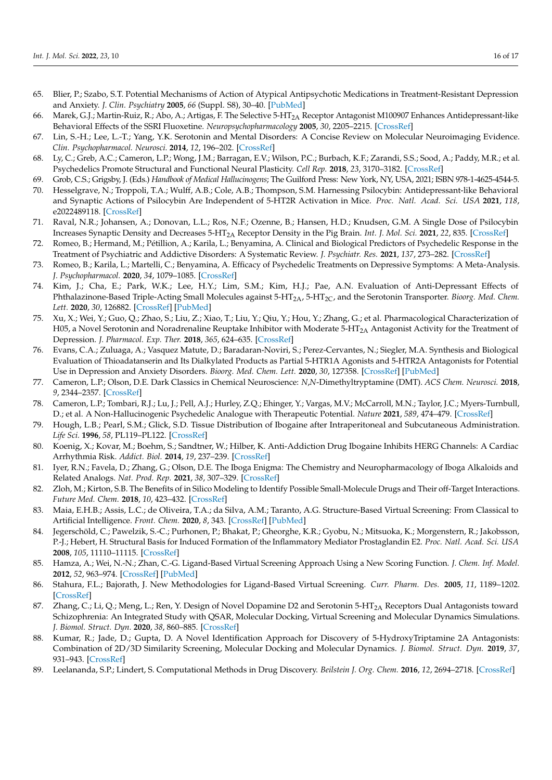- <span id="page-15-0"></span>65. Blier, P.; Szabo, S.T. Potential Mechanisms of Action of Atypical Antipsychotic Medications in Treatment-Resistant Depression and Anxiety. *J. Clin. Psychiatry* **2005**, *66* (Suppl. S8), 30–40. [\[PubMed\]](http://www.ncbi.nlm.nih.gov/pubmed/16336034)
- <span id="page-15-1"></span>66. Marek, G.J.; Martin-Ruiz, R.; Abo, A.; Artigas, F. The Selective 5-HT<sub>2A</sub> Receptor Antagonist M100907 Enhances Antidepressant-like Behavioral Effects of the SSRI Fluoxetine. *Neuropsychopharmacology* **2005**, *30*, 2205–2215. [\[CrossRef\]](http://doi.org/10.1038/sj.npp.1300762)
- <span id="page-15-2"></span>67. Lin, S.-H.; Lee, L.-T.; Yang, Y.K. Serotonin and Mental Disorders: A Concise Review on Molecular Neuroimaging Evidence. *Clin. Psychopharmacol. Neurosci.* **2014**, *12*, 196–202. [\[CrossRef\]](http://doi.org/10.9758/cpn.2014.12.3.196)
- <span id="page-15-3"></span>68. Ly, C.; Greb, A.C.; Cameron, L.P.; Wong, J.M.; Barragan, E.V.; Wilson, P.C.; Burbach, K.F.; Zarandi, S.S.; Sood, A.; Paddy, M.R.; et al. Psychedelics Promote Structural and Functional Neural Plasticity. *Cell Rep.* **2018**, *23*, 3170–3182. [\[CrossRef\]](http://doi.org/10.1016/j.celrep.2018.05.022)
- <span id="page-15-4"></span>69. Grob, C.S.; Grigsby, J. (Eds.) *Handbook of Medical Hallucinogens*; The Guilford Press: New York, NY, USA, 2021; ISBN 978-1-4625-4544-5.
- <span id="page-15-5"></span>70. Hesselgrave, N.; Troppoli, T.A.; Wulff, A.B.; Cole, A.B.; Thompson, S.M. Harnessing Psilocybin: Antidepressant-like Behavioral and Synaptic Actions of Psilocybin Are Independent of 5-HT2R Activation in Mice. *Proc. Natl. Acad. Sci. USA* **2021**, *118*, e2022489118. [\[CrossRef\]](http://doi.org/10.1073/pnas.2022489118)
- <span id="page-15-6"></span>71. Raval, N.R.; Johansen, A.; Donovan, L.L.; Ros, N.F.; Ozenne, B.; Hansen, H.D.; Knudsen, G.M. A Single Dose of Psilocybin Increases Synaptic Density and Decreases 5-HT2A Receptor Density in the Pig Brain. *Int. J. Mol. Sci.* **2021**, *22*, 835. [\[CrossRef\]](http://doi.org/10.3390/ijms22020835)
- <span id="page-15-7"></span>72. Romeo, B.; Hermand, M.; Pétillion, A.; Karila, L.; Benyamina, A. Clinical and Biological Predictors of Psychedelic Response in the Treatment of Psychiatric and Addictive Disorders: A Systematic Review. *J. Psychiatr. Res.* **2021**, *137*, 273–282. [\[CrossRef\]](http://doi.org/10.1016/j.jpsychires.2021.03.002)
- <span id="page-15-8"></span>73. Romeo, B.; Karila, L.; Martelli, C.; Benyamina, A. Efficacy of Psychedelic Treatments on Depressive Symptoms: A Meta-Analysis. *J. Psychopharmacol.* **2020**, *34*, 1079–1085. [\[CrossRef\]](http://doi.org/10.1177/0269881120919957)
- <span id="page-15-9"></span>74. Kim, J.; Cha, E.; Park, W.K.; Lee, H.Y.; Lim, S.M.; Kim, H.J.; Pae, A.N. Evaluation of Anti-Depressant Effects of Phthalazinone-Based Triple-Acting Small Molecules against 5-HT<sub>2A</sub>, 5-HT<sub>2C</sub>, and the Serotonin Transporter. *Bioorg. Med. Chem. Lett.* **2020**, *30*, 126882. [\[CrossRef\]](http://doi.org/10.1016/j.bmcl.2019.126882) [\[PubMed\]](http://www.ncbi.nlm.nih.gov/pubmed/31889666)
- <span id="page-15-10"></span>75. Xu, X.; Wei, Y.; Guo, Q.; Zhao, S.; Liu, Z.; Xiao, T.; Liu, Y.; Qiu, Y.; Hou, Y.; Zhang, G.; et al. Pharmacological Characterization of H05, a Novel Serotonin and Noradrenaline Reuptake Inhibitor with Moderate 5-HT<sub>2A</sub> Antagonist Activity for the Treatment of Depression. *J. Pharmacol. Exp. Ther.* **2018**, *365*, 624–635. [\[CrossRef\]](http://doi.org/10.1124/jpet.118.248351)
- <span id="page-15-11"></span>76. Evans, C.A.; Zuluaga, A.; Vasquez Matute, D.; Baradaran-Noviri, S.; Perez-Cervantes, N.; Siegler, M.A. Synthesis and Biological Evaluation of Thioadatanserin and Its Dialkylated Products as Partial 5-HTR1A Agonists and 5-HTR2A Antagonists for Potential Use in Depression and Anxiety Disorders. *Bioorg. Med. Chem. Lett.* **2020**, *30*, 127358. [\[CrossRef\]](http://doi.org/10.1016/j.bmcl.2020.127358) [\[PubMed\]](http://www.ncbi.nlm.nih.gov/pubmed/32631554)
- <span id="page-15-12"></span>77. Cameron, L.P.; Olson, D.E. Dark Classics in Chemical Neuroscience: *N*,*N*-Dimethyltryptamine (DMT). *ACS Chem. Neurosci.* **2018**, *9*, 2344–2357. [\[CrossRef\]](http://doi.org/10.1021/acschemneuro.8b00101)
- <span id="page-15-13"></span>78. Cameron, L.P.; Tombari, R.J.; Lu, J.; Pell, A.J.; Hurley, Z.Q.; Ehinger, Y.; Vargas, M.V.; McCarroll, M.N.; Taylor, J.C.; Myers-Turnbull, D.; et al. A Non-Hallucinogenic Psychedelic Analogue with Therapeutic Potential. *Nature* **2021**, *589*, 474–479. [\[CrossRef\]](http://doi.org/10.1038/s41586-020-3008-z)
- <span id="page-15-14"></span>79. Hough, L.B.; Pearl, S.M.; Glick, S.D. Tissue Distribution of Ibogaine after Intraperitoneal and Subcutaneous Administration. *Life Sci.* **1996**, *58*, PL119–PL122. [\[CrossRef\]](http://doi.org/10.1016/0024-3205(95)02322-4)
- <span id="page-15-15"></span>80. Koenig, X.; Kovar, M.; Boehm, S.; Sandtner, W.; Hilber, K. Anti-Addiction Drug Ibogaine Inhibits HERG Channels: A Cardiac Arrhythmia Risk. *Addict. Biol.* **2014**, *19*, 237–239. [\[CrossRef\]](http://doi.org/10.1111/j.1369-1600.2012.00447.x)
- <span id="page-15-16"></span>81. Iyer, R.N.; Favela, D.; Zhang, G.; Olson, D.E. The Iboga Enigma: The Chemistry and Neuropharmacology of Iboga Alkaloids and Related Analogs. *Nat. Prod. Rep.* **2021**, *38*, 307–329. [\[CrossRef\]](http://doi.org/10.1039/D0NP00033G)
- <span id="page-15-17"></span>82. Zloh, M.; Kirton, S.B. The Benefits of in Silico Modeling to Identify Possible Small-Molecule Drugs and Their off-Target Interactions. *Future Med. Chem.* **2018**, *10*, 423–432. [\[CrossRef\]](http://doi.org/10.4155/fmc-2017-0151)
- <span id="page-15-18"></span>83. Maia, E.H.B.; Assis, L.C.; de Oliveira, T.A.; da Silva, A.M.; Taranto, A.G. Structure-Based Virtual Screening: From Classical to Artificial Intelligence. *Front. Chem.* **2020**, *8*, 343. [\[CrossRef\]](http://doi.org/10.3389/fchem.2020.00343) [\[PubMed\]](http://www.ncbi.nlm.nih.gov/pubmed/32411671)
- <span id="page-15-19"></span>84. Jegerschöld, C.; Pawelzik, S.-C.; Purhonen, P.; Bhakat, P.; Gheorghe, K.R.; Gyobu, N.; Mitsuoka, K.; Morgenstern, R.; Jakobsson, P.-J.; Hebert, H. Structural Basis for Induced Formation of the Inflammatory Mediator Prostaglandin E2. *Proc. Natl. Acad. Sci. USA* **2008**, *105*, 11110–11115. [\[CrossRef\]](http://doi.org/10.1073/pnas.0802894105)
- <span id="page-15-20"></span>85. Hamza, A.; Wei, N.-N.; Zhan, C.-G. Ligand-Based Virtual Screening Approach Using a New Scoring Function. *J. Chem. Inf. Model.* **2012**, *52*, 963–974. [\[CrossRef\]](http://doi.org/10.1021/ci200617d) [\[PubMed\]](http://www.ncbi.nlm.nih.gov/pubmed/22486340)
- <span id="page-15-21"></span>86. Stahura, F.L.; Bajorath, J. New Methodologies for Ligand-Based Virtual Screening. *Curr. Pharm. Des.* **2005**, *11*, 1189–1202. [\[CrossRef\]](http://doi.org/10.2174/1381612053507549)
- <span id="page-15-22"></span>87. Zhang, C.; Li, Q.; Meng, L.; Ren, Y. Design of Novel Dopamine D2 and Serotonin 5-HT<sub>2A</sub> Receptors Dual Antagonists toward Schizophrenia: An Integrated Study with QSAR, Molecular Docking, Virtual Screening and Molecular Dynamics Simulations. *J. Biomol. Struct. Dyn.* **2020**, *38*, 860–885. [\[CrossRef\]](http://doi.org/10.1080/07391102.2019.1590244)
- <span id="page-15-23"></span>88. Kumar, R.; Jade, D.; Gupta, D. A Novel Identification Approach for Discovery of 5-HydroxyTriptamine 2A Antagonists: Combination of 2D/3D Similarity Screening, Molecular Docking and Molecular Dynamics. *J. Biomol. Struct. Dyn.* **2019**, *37*, 931–943. [\[CrossRef\]](http://doi.org/10.1080/07391102.2018.1444509)
- <span id="page-15-24"></span>89. Leelananda, S.P.; Lindert, S. Computational Methods in Drug Discovery. *Beilstein J. Org. Chem.* **2016**, *12*, 2694–2718. [\[CrossRef\]](http://doi.org/10.3762/bjoc.12.267)